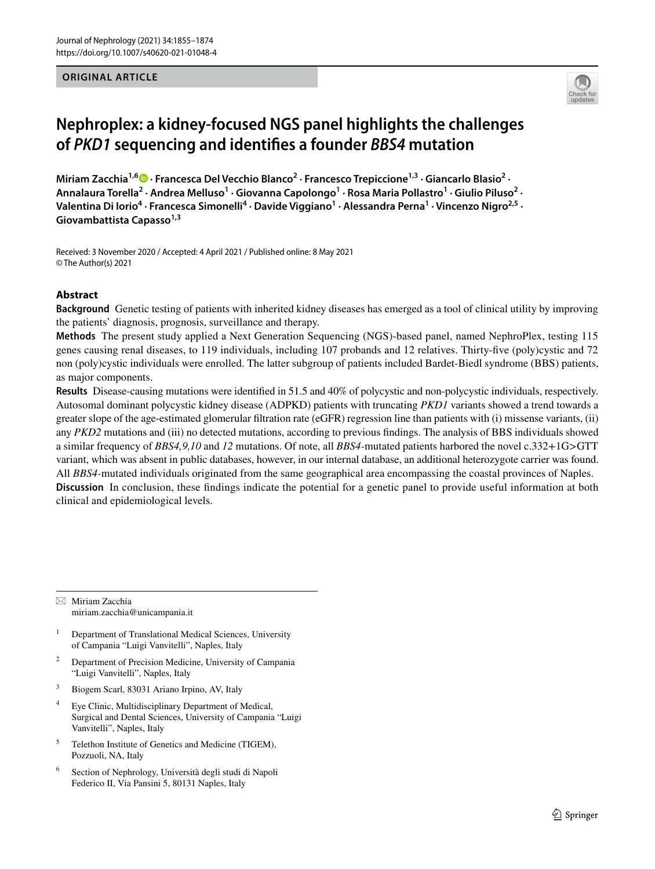### **ORIGINAL ARTICLE**



# **Nephroplex: a kidney‑focused NGS panel highlights the challenges of** *PKD1* **sequencing and identifes a founder** *BBS4* **mutation**

Miriam Zacchia<sup>1,6</sup><sup>®</sup> [·](http://orcid.org/0000-0003-0376-2783) Francesca Del Vecchio Blanco<sup>2</sup> · Francesco Trepiccione<sup>1,3</sup> · Giancarlo Blasio<sup>2</sup> · Annalaura Torella<sup>2</sup> • Andrea Melluso<sup>1</sup> • Giovanna Capolongo<sup>1</sup> • Rosa Maria Pollastro<sup>1</sup> • Giulio Piluso<sup>2</sup> • **Valentina Di Iorio4 · Francesca Simonelli4 · Davide Viggiano<sup>1</sup> · Alessandra Perna1 · Vincenzo Nigro2,5 · Giovambattista Capasso1,3**

Received: 3 November 2020 / Accepted: 4 April 2021 / Published online: 8 May 2021 © The Author(s) 2021

# **Abstract**

**Background** Genetic testing of patients with inherited kidney diseases has emerged as a tool of clinical utility by improving the patients' diagnosis, prognosis, surveillance and therapy.

**Methods** The present study applied a Next Generation Sequencing (NGS)-based panel, named NephroPlex, testing 115 genes causing renal diseases, to 119 individuals, including 107 probands and 12 relatives. Thirty-fve (poly)cystic and 72 non (poly)cystic individuals were enrolled. The latter subgroup of patients included Bardet-Biedl syndrome (BBS) patients, as major components.

**Results** Disease-causing mutations were identifed in 51.5 and 40% of polycystic and non-polycystic individuals, respectively. Autosomal dominant polycystic kidney disease (ADPKD) patients with truncating *PKD1* variants showed a trend towards a greater slope of the age-estimated glomerular fltration rate (eGFR) regression line than patients with (i) missense variants, (ii) any *PKD2* mutations and (iii) no detected mutations, according to previous fndings. The analysis of BBS individuals showed a similar frequency of *BBS4,9,10* and *12* mutations. Of note, all *BBS4-*mutated patients harbored the novel c.332+1G>GTT variant, which was absent in public databases, however, in our internal database, an additional heterozygote carrier was found. All *BBS4-*mutated individuals originated from the same geographical area encompassing the coastal provinces of Naples. **Discussion** In conclusion, these fndings indicate the potential for a genetic panel to provide useful information at both clinical and epidemiological levels.

 $\boxtimes$  Miriam Zacchia miriam.zacchia@unicampania.it

- <sup>1</sup> Department of Translational Medical Sciences, University of Campania "Luigi Vanvitelli", Naples, Italy
- <sup>2</sup> Department of Precision Medicine, University of Campania "Luigi Vanvitelli", Naples, Italy
- <sup>3</sup> Biogem Scarl, 83031 Ariano Irpino, AV, Italy
- <sup>4</sup> Eye Clinic, Multidisciplinary Department of Medical, Surgical and Dental Sciences, University of Campania "Luigi Vanvitelli", Naples, Italy
- <sup>5</sup> Telethon Institute of Genetics and Medicine (TIGEM), Pozzuoli, NA, Italy
- <sup>6</sup> Section of Nephrology, Università degli studi di Napoli Federico II, Via Pansini 5, 80131 Naples, Italy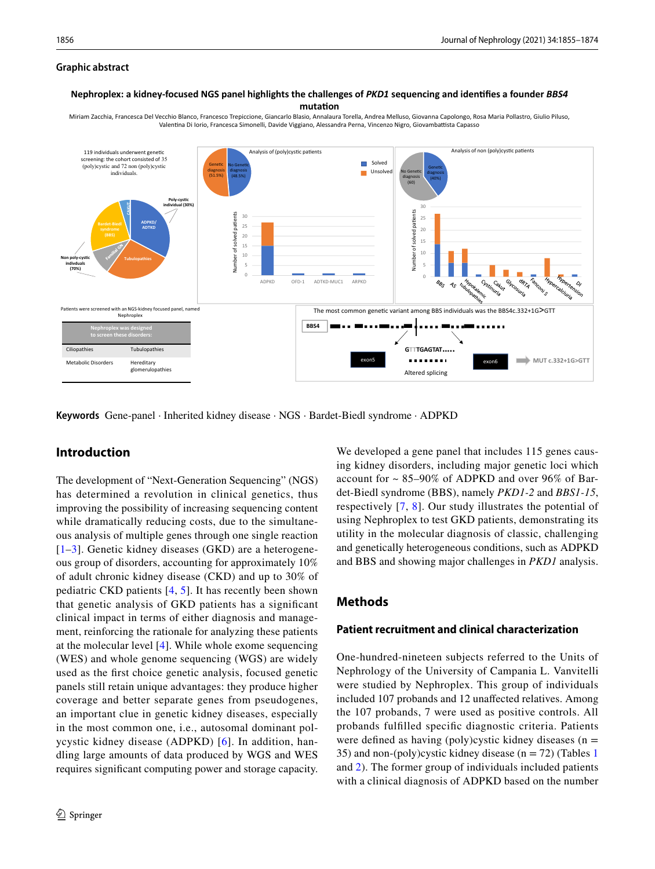### **Graphic abstract**

#### **Nephroplex: a kidney-focused NGS panel highlights the challenges of** *PKD1* **sequencing and idenfies a founder** *BBS4* mutation

Analysis of (poly)cystic patients and polyopsis of non (poly)cystic patients Analysis of non (poly)cystic patients 119 individuals underwent genetic screening: the cohort consisted of 35 **COL** Solved (poly)cystic and 72 non (poly)cystic Genetic **No Genetic** Genetic individuals. Unsol diagnosis diagnosis ÷ No Genetic diagnosis (51.5%) (48.5%) diagnosis (40%) (60) **Poly-cysc CAKUT individual (30%)**  30 solved patients Number of solved patients Number of solved patients Number of solved patients 30 25 **ADPKD/ ADTKD** 25 20 20 15 15 dumber of 10 10 **Non poly-cysc Tubulopathies indivduals** 5 5 **(70%)** 0 ADPKD OFD-1 ADTKD-MUC1 ARPKD Ò  $\mathcal{A}$ an NGS-kidn The most common genetic variant among BBS individuals was the BBS4c.332+1G $\geq$ GTT Nephroplex **BBS4 Nephroplex was designed to screen these disorders: GTTTGAGTAT…..** Ciliopathies Tubulopathies exon5 exon6 **MUT c.332+1G>GTT** Metabolic Disorders Hereditary glomerulopathies Altered splicing

Miriam Zacchia, Francesca Del Vecchio Blanco, Francesco Trepiccione, Giancarlo Blasio, Annalaura Torella, Andrea Melluso, Giovanna Capolongo, Rosa Maria Pollastro, Giulio Piluso, Valentina Di Iorio, Francesca Simonelli, Davide Viggiano, Alessandra Perna, Vincenzo Nigro, Giovambattista Capasso

**Keywords** Gene-panel · Inherited kidney disease · NGS · Bardet-Biedl syndrome · ADPKD

# **Introduction**

The development of "Next-Generation Sequencing" (NGS) has determined a revolution in clinical genetics, thus improving the possibility of increasing sequencing content while dramatically reducing costs, due to the simultaneous analysis of multiple genes through one single reaction  $[1-3]$  $[1-3]$  $[1-3]$ . Genetic kidney diseases (GKD) are a heterogeneous group of disorders, accounting for approximately 10% of adult chronic kidney disease (CKD) and up to 30% of pediatric CKD patients [[4,](#page-17-2) [5](#page-17-3)]. It has recently been shown that genetic analysis of GKD patients has a signifcant clinical impact in terms of either diagnosis and management, reinforcing the rationale for analyzing these patients at the molecular level [\[4](#page-17-2)]. While whole exome sequencing (WES) and whole genome sequencing (WGS) are widely used as the frst choice genetic analysis, focused genetic panels still retain unique advantages: they produce higher coverage and better separate genes from pseudogenes, an important clue in genetic kidney diseases, especially in the most common one, i.e., autosomal dominant polycystic kidney disease (ADPKD) [[6\]](#page-17-4). In addition, handling large amounts of data produced by WGS and WES requires signifcant computing power and storage capacity.

We developed a gene panel that includes 115 genes causing kidney disorders, including major genetic loci which account for ~ 85–90% of ADPKD and over 96% of Bardet-Biedl syndrome (BBS), namely *PKD1-2* and *BBS1-15*, respectively [[7,](#page-17-5) [8](#page-17-6)]. Our study illustrates the potential of using Nephroplex to test GKD patients, demonstrating its utility in the molecular diagnosis of classic, challenging and genetically heterogeneous conditions, such as ADPKD and BBS and showing major challenges in *PKD1* analysis.

# <span id="page-1-0"></span>**Methods**

### **Patient recruitment and clinical characterization**

One-hundred-nineteen subjects referred to the Units of Nephrology of the University of Campania L. Vanvitelli were studied by Nephroplex. This group of individuals included 107 probands and 12 unafected relatives. Among the 107 probands, 7 were used as positive controls. All probands fulflled specifc diagnostic criteria. Patients were defined as having (poly)cystic kidney diseases ( $n =$ 35) and non-(poly)cystic kidney disease ( $n = 72$ ) (Tables [1](#page-2-0) and [2\)](#page-6-0). The former group of individuals included patients with a clinical diagnosis of ADPKD based on the number

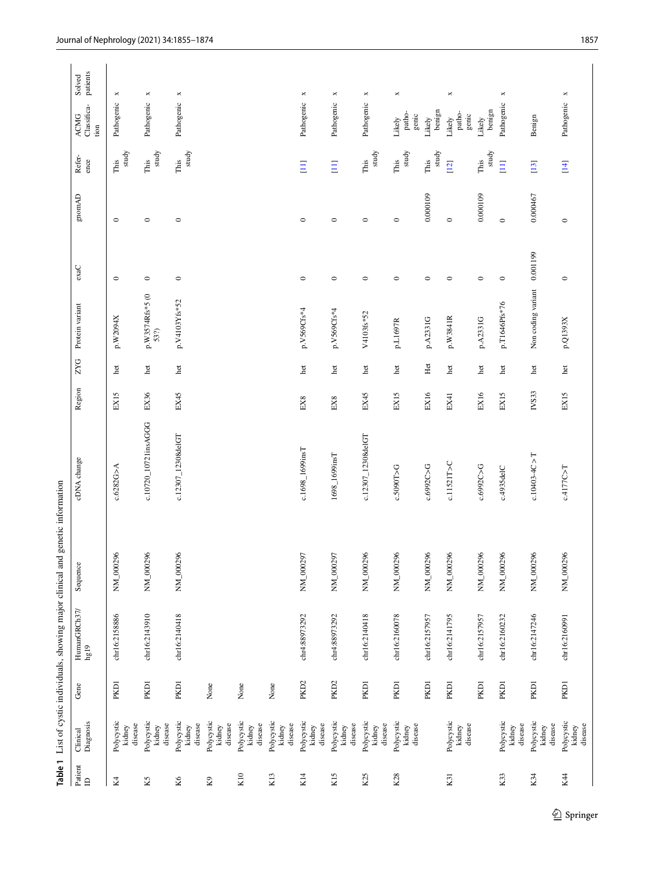<span id="page-2-0"></span>

|                                                   |                                 |                  |                      | Table 1 List of cystic individuals, showing major clinical and genetic information |                      |                 |            |                         |          |                                           |                      |                                    |                       |
|---------------------------------------------------|---------------------------------|------------------|----------------------|------------------------------------------------------------------------------------|----------------------|-----------------|------------|-------------------------|----------|-------------------------------------------|----------------------|------------------------------------|-----------------------|
| Patient<br>$\ensuremath{\mathrel{\triangleleft}}$ | Diagnosis<br>Clinical           | Gene             | HumanGRCh37/<br>hg19 | Sequence                                                                           | cDNA change          | Region          | <b>ZYG</b> | Protein variant         | exac     | $\ensuremath{\mathsf{gmm}\xspace}\xspace$ | Refer-<br>ence       | Classifica-<br><b>ACMG</b><br>tion | patients<br>Solved    |
| Κ4                                                | Polycystic<br>kidney<br>disease | PKD1             | chr16:2158886        | NM_000296                                                                          | c.6282G>A            | EX15            | het        | p.W2094X                | $\circ$  | $\circ$                                   | study<br>This        | Pathogenic                         | $\pmb{\times}$        |
| K5                                                | Polycystic<br>disease<br>kidney | PKD1             | chr16:2143910        | NM_000296                                                                          | c.10720_10721insAGGG | EX36            | het        | p.W3574Rfs*5 (0<br>53?) | $\circ$  | $\circ$                                   | study<br>$\rm{This}$ | Pathogenic                         | $\Join$               |
| K6                                                | Polycystic<br>disease<br>kidney | <b>PKD1</b>      | chr16:2140418        | NM_000296                                                                          | c.12307_12308deIGT   | EX45            | het        | p.V4103Yfs*52           | $\circ$  | $\circ$                                   | study<br>$\rm This$  | Pathogenic                         | $\Join$               |
| $\rm K9$                                          | Polycystic<br>disease<br>kidney | None             |                      |                                                                                    |                      |                 |            |                         |          |                                           |                      |                                    |                       |
| K10                                               | Polycystic<br>disease<br>kidney | None             |                      |                                                                                    |                      |                 |            |                         |          |                                           |                      |                                    |                       |
| K13                                               | Polycystic<br>disease<br>kidney | None             |                      |                                                                                    |                      |                 |            |                         |          |                                           |                      |                                    |                       |
| K14                                               | Polycystic<br>disease<br>kidney | PKD <sub>2</sub> | chr4:88973292        | NM_000297                                                                          | c.1698_1699insT      | EX <sub>8</sub> | het        | p.V569Cfs*4             | $\circ$  | $\circ$                                   | $\Xi$                | Pathogenic                         | $\Join$               |
| K <sub>15</sub>                                   | Polycystic<br>disease<br>kidney | PKD <sub>2</sub> | chr4:88973292        | NM_000297                                                                          | 1698_1699insT        | $EX8$           | het        | p.V569Cfs*4             | $\circ$  | $\circ$                                   | $\Xi$                | Pathogenic                         | ×                     |
| K <sub>25</sub>                                   | Polycystic<br>disease<br>kidney | PKD1             | chr16:2140418        | NM_000296                                                                          | c.12307_12308deIGT   | EX45            | het        | V4103fs*52              | $\circ$  | $\circ$                                   | study<br>$\rm{This}$ | Pathogenic                         | $\pmb{\times}$        |
| K28                                               | Polycystic<br>disease<br>kidney | PKD1             | chr16:2160078        | NM_000296                                                                          | c.5090T>G            | EX15            | het        | p.L1697R                | $\circ$  | $\circ$                                   | study<br>This        | patho-<br>genic<br>Likely          | $\Join$               |
|                                                   |                                 | PKD1             | chr16:2157957        | NM_000296                                                                          | c.6992C>G            | EX16            | Het        | p.A2331G                | $\circ$  | 0.000109                                  | study<br>This        | benign<br>Likely                   |                       |
| K31                                               | Polycystic<br>disease<br>kidney | PKD1             | chr16:2141795        | NM_000296                                                                          | c.11521T>C           | EX41            | het        | p.W3841R                | $\circ$  | $\circ$                                   | $[12]$               | patho-<br>genic<br>Likely          | $\boldsymbol{\times}$ |
|                                                   |                                 | PKD1             | chr16:2157957        | NM_000296                                                                          | c.6992C>G            | EX16            | het        | p.A2331G                | $\circ$  | 0.000109                                  | study<br>This        | benign<br>Likely                   |                       |
| K33                                               | Polycystic<br>disease<br>kidney | PKD <sub>1</sub> | chr16:2160232        | NM_000296                                                                          | c.4935delC           | EX15            | het        | p.T1646Pfs*76           | $\circ$  | $\circ$                                   | $\Xi$                | Pathogenic                         | $\Join$               |
| K34                                               | Polycystic<br>disease<br>kidney | PKD <sub>1</sub> | chr16:2147246        | NM_000296                                                                          | $c.10403 - 4C > T$   | IVS33           | het        | Non coding variant      | 0.001199 | 0.000467                                  | $[13]$               | Benign                             |                       |
| K44                                               | Polycystic<br>disease<br>kidney | PKD1             | chr16:2160991        | NM_000296                                                                          | c.4177C>T            | EX15            | het        | p.Q1393X                | $\circ$  | $\circ$                                   | $[14]$               | Pathogenic                         | ×                     |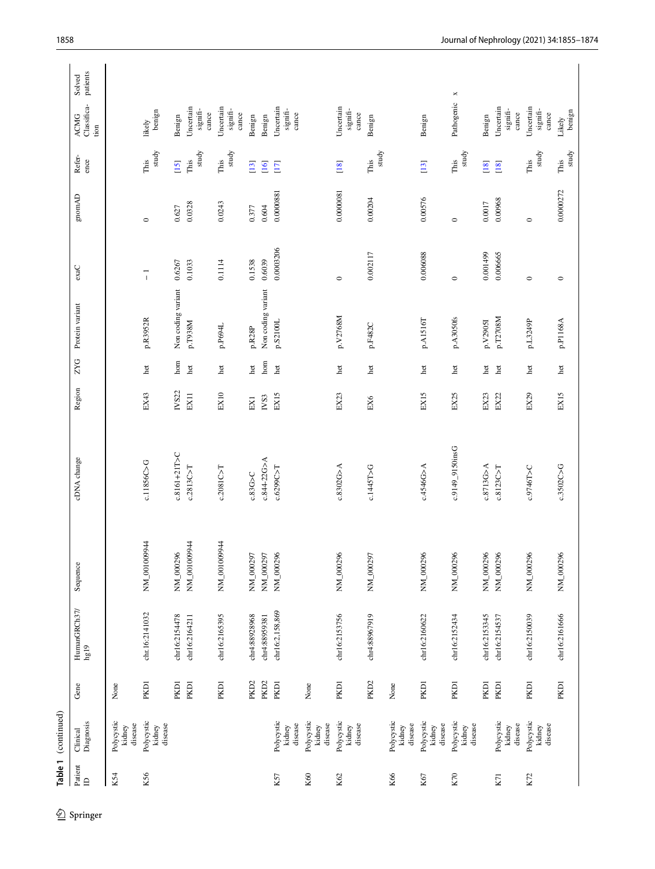| study<br>study<br>study<br>study<br>study<br>study<br>study<br>Refer-<br>This<br>This<br>This<br>ence<br>This<br>This<br>This<br>This<br>$[15]$<br>$[13]$<br>$[18]$<br>$[13]$<br>$[16]$<br>$[17]$<br>$[18]$<br>$[18]$<br>0.0000272<br>0.0000081<br>0.0000881<br><b>CAmong</b><br>0.00576<br>0.00204<br>0.00968<br>0.0017<br>0.0328<br>0.0243<br>0.604<br>0.627<br>0.377<br>$\circ$<br>$\circ$<br>$\circ$<br>0.0003206<br>0.006088<br>0.002117<br>0.001499<br>0.006665<br>0.6039<br>0.1538<br>0.1033<br>0.1114<br>0.6267<br>$exaC$<br>$\overline{1}$<br>$\circ$<br>$\circ$<br>$\circ$<br>$\circ$<br>Non coding variant<br>Non coding variant<br>Protein variant<br>p.V2768M<br>p.A3050fs<br>p.A1516T<br>p.T2708M<br>p.R3952R<br>p.P1168A<br>p.S2100L<br>p.L3249P<br>$p.V2905I$<br>p.T938M<br>p.F482C<br>p.P694L<br>p.R28P<br><b>ZYG</b><br>$_{\rm hom}$<br>hom<br>$_{\rm het}$<br>het<br>het<br>het<br>het<br>het<br>het<br>het<br>het<br>het<br>het<br>het<br>het<br>Region<br>IVS22<br>EX10<br>EX29<br>EX15<br>EX43<br>EX23<br>EX15<br>EX25<br>EX23<br>EX11<br>EX15<br>EX22<br>$_{\rm NS3}$<br>$EX1$<br>EX6<br>c.9149_9150insG<br>c.8161+21T>C<br>cDNA change<br>c.844-22G>A<br>c.11856C>G<br>c.8302G > A<br>c.4546G>A<br>c.8713G>A<br>c.3502C>G<br>c.2813C > T<br>c.6299C>T<br>c.1445T>G<br>c.8123C > T<br>c.9746T>C<br>c.2081C > T<br>$c.83G$ >C<br>NM_00100944<br>NM_00100944<br>NM_00100944<br>NM_000296<br>NM_000297<br>NM_000297<br>NM_000296<br>NM_000296<br>NM_000297<br>NM_000296<br>NM_000296<br>NM_000296<br>NM_000296<br>NM_000296<br>NM_000296<br>Sequence<br>HumanGRCh37/<br>chr16:2,158,869<br>chr.16:2141032<br>chr16:2153756<br>chr16:2161666<br>chr4:88928968<br>chr4:88967919<br>chr16:2160622<br>chr16:2150039<br>chr16:2154478<br>chr16:2165395<br>chr16:2152434<br>chr16:2153345<br>chr16:2154537<br>chr4:88959381<br>chr16:2164211<br>hg19<br>PKD <sub>2</sub><br><b>PKD1</b><br>PKD <sub>2</sub><br>PKD <sub>2</sub><br>PKD1<br>PKD1<br><b>PKD1</b><br>PKD1<br>PKD1<br>PKD1<br>PKD1<br>PKD1<br>PKD1<br>PKD1<br>PKD1<br>None<br>None<br>None<br>Gene<br>Polycystic<br>kidney<br>Polycystic<br>kidney<br>Polycystic<br>Polycystic<br>kidney<br>Polycystic<br>Polycystic<br>kidney<br>Polycystic<br>Polycystic<br>Polycystic<br>kidney<br>Polycystic<br>Diagnosis<br>disease<br>disease<br>disease<br>disease<br>disease<br>disease<br>disease<br>disease<br>disease<br>disease<br>kidney<br>kidney<br>kidney<br>kidney<br>kidney<br>Clinical<br>Patient<br>K56<br>K66<br>K54<br>K60<br>K62<br>K57<br>K67<br>K70<br>K72<br>$K$ <sup><math>71</math></sup><br>$\mathbf{a}$ | Table 1 (continued) |  |  |  |  |  |                                       |                       |
|-------------------------------------------------------------------------------------------------------------------------------------------------------------------------------------------------------------------------------------------------------------------------------------------------------------------------------------------------------------------------------------------------------------------------------------------------------------------------------------------------------------------------------------------------------------------------------------------------------------------------------------------------------------------------------------------------------------------------------------------------------------------------------------------------------------------------------------------------------------------------------------------------------------------------------------------------------------------------------------------------------------------------------------------------------------------------------------------------------------------------------------------------------------------------------------------------------------------------------------------------------------------------------------------------------------------------------------------------------------------------------------------------------------------------------------------------------------------------------------------------------------------------------------------------------------------------------------------------------------------------------------------------------------------------------------------------------------------------------------------------------------------------------------------------------------------------------------------------------------------------------------------------------------------------------------------------------------------------------------------------------------------------------------------------------------------------------------------------------------------------------------------------------------------------------------------------------------------------------------------------------------------------------------------------------------------------------------------------------------------------------------------------------------------------------------------------------------------------------------------------------------------------------------------------------------------------------------------------|---------------------|--|--|--|--|--|---------------------------------------|-----------------------|
|                                                                                                                                                                                                                                                                                                                                                                                                                                                                                                                                                                                                                                                                                                                                                                                                                                                                                                                                                                                                                                                                                                                                                                                                                                                                                                                                                                                                                                                                                                                                                                                                                                                                                                                                                                                                                                                                                                                                                                                                                                                                                                                                                                                                                                                                                                                                                                                                                                                                                                                                                                                                 |                     |  |  |  |  |  | Classifica-<br>ACMG<br>tion           | patients<br>Solved    |
|                                                                                                                                                                                                                                                                                                                                                                                                                                                                                                                                                                                                                                                                                                                                                                                                                                                                                                                                                                                                                                                                                                                                                                                                                                                                                                                                                                                                                                                                                                                                                                                                                                                                                                                                                                                                                                                                                                                                                                                                                                                                                                                                                                                                                                                                                                                                                                                                                                                                                                                                                                                                 |                     |  |  |  |  |  |                                       |                       |
|                                                                                                                                                                                                                                                                                                                                                                                                                                                                                                                                                                                                                                                                                                                                                                                                                                                                                                                                                                                                                                                                                                                                                                                                                                                                                                                                                                                                                                                                                                                                                                                                                                                                                                                                                                                                                                                                                                                                                                                                                                                                                                                                                                                                                                                                                                                                                                                                                                                                                                                                                                                                 |                     |  |  |  |  |  | likely<br>benign                      |                       |
|                                                                                                                                                                                                                                                                                                                                                                                                                                                                                                                                                                                                                                                                                                                                                                                                                                                                                                                                                                                                                                                                                                                                                                                                                                                                                                                                                                                                                                                                                                                                                                                                                                                                                                                                                                                                                                                                                                                                                                                                                                                                                                                                                                                                                                                                                                                                                                                                                                                                                                                                                                                                 |                     |  |  |  |  |  | Benign                                |                       |
|                                                                                                                                                                                                                                                                                                                                                                                                                                                                                                                                                                                                                                                                                                                                                                                                                                                                                                                                                                                                                                                                                                                                                                                                                                                                                                                                                                                                                                                                                                                                                                                                                                                                                                                                                                                                                                                                                                                                                                                                                                                                                                                                                                                                                                                                                                                                                                                                                                                                                                                                                                                                 |                     |  |  |  |  |  | Uncertain<br>signifi-<br>$c$ an $ce$  |                       |
|                                                                                                                                                                                                                                                                                                                                                                                                                                                                                                                                                                                                                                                                                                                                                                                                                                                                                                                                                                                                                                                                                                                                                                                                                                                                                                                                                                                                                                                                                                                                                                                                                                                                                                                                                                                                                                                                                                                                                                                                                                                                                                                                                                                                                                                                                                                                                                                                                                                                                                                                                                                                 |                     |  |  |  |  |  | Uncertain<br>signifi-<br>$c$ an $c$ e |                       |
|                                                                                                                                                                                                                                                                                                                                                                                                                                                                                                                                                                                                                                                                                                                                                                                                                                                                                                                                                                                                                                                                                                                                                                                                                                                                                                                                                                                                                                                                                                                                                                                                                                                                                                                                                                                                                                                                                                                                                                                                                                                                                                                                                                                                                                                                                                                                                                                                                                                                                                                                                                                                 |                     |  |  |  |  |  | Benign                                |                       |
|                                                                                                                                                                                                                                                                                                                                                                                                                                                                                                                                                                                                                                                                                                                                                                                                                                                                                                                                                                                                                                                                                                                                                                                                                                                                                                                                                                                                                                                                                                                                                                                                                                                                                                                                                                                                                                                                                                                                                                                                                                                                                                                                                                                                                                                                                                                                                                                                                                                                                                                                                                                                 |                     |  |  |  |  |  | Benign                                |                       |
|                                                                                                                                                                                                                                                                                                                                                                                                                                                                                                                                                                                                                                                                                                                                                                                                                                                                                                                                                                                                                                                                                                                                                                                                                                                                                                                                                                                                                                                                                                                                                                                                                                                                                                                                                                                                                                                                                                                                                                                                                                                                                                                                                                                                                                                                                                                                                                                                                                                                                                                                                                                                 |                     |  |  |  |  |  | Uncertain<br>signifi-<br>cance        |                       |
|                                                                                                                                                                                                                                                                                                                                                                                                                                                                                                                                                                                                                                                                                                                                                                                                                                                                                                                                                                                                                                                                                                                                                                                                                                                                                                                                                                                                                                                                                                                                                                                                                                                                                                                                                                                                                                                                                                                                                                                                                                                                                                                                                                                                                                                                                                                                                                                                                                                                                                                                                                                                 |                     |  |  |  |  |  |                                       |                       |
|                                                                                                                                                                                                                                                                                                                                                                                                                                                                                                                                                                                                                                                                                                                                                                                                                                                                                                                                                                                                                                                                                                                                                                                                                                                                                                                                                                                                                                                                                                                                                                                                                                                                                                                                                                                                                                                                                                                                                                                                                                                                                                                                                                                                                                                                                                                                                                                                                                                                                                                                                                                                 |                     |  |  |  |  |  | Uncertain<br>signifi-<br>$c$ an $c$ e |                       |
|                                                                                                                                                                                                                                                                                                                                                                                                                                                                                                                                                                                                                                                                                                                                                                                                                                                                                                                                                                                                                                                                                                                                                                                                                                                                                                                                                                                                                                                                                                                                                                                                                                                                                                                                                                                                                                                                                                                                                                                                                                                                                                                                                                                                                                                                                                                                                                                                                                                                                                                                                                                                 |                     |  |  |  |  |  | Benign                                |                       |
|                                                                                                                                                                                                                                                                                                                                                                                                                                                                                                                                                                                                                                                                                                                                                                                                                                                                                                                                                                                                                                                                                                                                                                                                                                                                                                                                                                                                                                                                                                                                                                                                                                                                                                                                                                                                                                                                                                                                                                                                                                                                                                                                                                                                                                                                                                                                                                                                                                                                                                                                                                                                 |                     |  |  |  |  |  |                                       |                       |
|                                                                                                                                                                                                                                                                                                                                                                                                                                                                                                                                                                                                                                                                                                                                                                                                                                                                                                                                                                                                                                                                                                                                                                                                                                                                                                                                                                                                                                                                                                                                                                                                                                                                                                                                                                                                                                                                                                                                                                                                                                                                                                                                                                                                                                                                                                                                                                                                                                                                                                                                                                                                 |                     |  |  |  |  |  | Benign                                |                       |
|                                                                                                                                                                                                                                                                                                                                                                                                                                                                                                                                                                                                                                                                                                                                                                                                                                                                                                                                                                                                                                                                                                                                                                                                                                                                                                                                                                                                                                                                                                                                                                                                                                                                                                                                                                                                                                                                                                                                                                                                                                                                                                                                                                                                                                                                                                                                                                                                                                                                                                                                                                                                 |                     |  |  |  |  |  | Pathogenic                            | $\boldsymbol{\times}$ |
|                                                                                                                                                                                                                                                                                                                                                                                                                                                                                                                                                                                                                                                                                                                                                                                                                                                                                                                                                                                                                                                                                                                                                                                                                                                                                                                                                                                                                                                                                                                                                                                                                                                                                                                                                                                                                                                                                                                                                                                                                                                                                                                                                                                                                                                                                                                                                                                                                                                                                                                                                                                                 |                     |  |  |  |  |  | Benign                                |                       |
|                                                                                                                                                                                                                                                                                                                                                                                                                                                                                                                                                                                                                                                                                                                                                                                                                                                                                                                                                                                                                                                                                                                                                                                                                                                                                                                                                                                                                                                                                                                                                                                                                                                                                                                                                                                                                                                                                                                                                                                                                                                                                                                                                                                                                                                                                                                                                                                                                                                                                                                                                                                                 |                     |  |  |  |  |  | Uncertain<br>signifi-<br>$c$ ance     |                       |
|                                                                                                                                                                                                                                                                                                                                                                                                                                                                                                                                                                                                                                                                                                                                                                                                                                                                                                                                                                                                                                                                                                                                                                                                                                                                                                                                                                                                                                                                                                                                                                                                                                                                                                                                                                                                                                                                                                                                                                                                                                                                                                                                                                                                                                                                                                                                                                                                                                                                                                                                                                                                 |                     |  |  |  |  |  | Uncertain<br>signifi-<br>$c$ an $c$ e |                       |
|                                                                                                                                                                                                                                                                                                                                                                                                                                                                                                                                                                                                                                                                                                                                                                                                                                                                                                                                                                                                                                                                                                                                                                                                                                                                                                                                                                                                                                                                                                                                                                                                                                                                                                                                                                                                                                                                                                                                                                                                                                                                                                                                                                                                                                                                                                                                                                                                                                                                                                                                                                                                 |                     |  |  |  |  |  | benign<br>Likely                      |                       |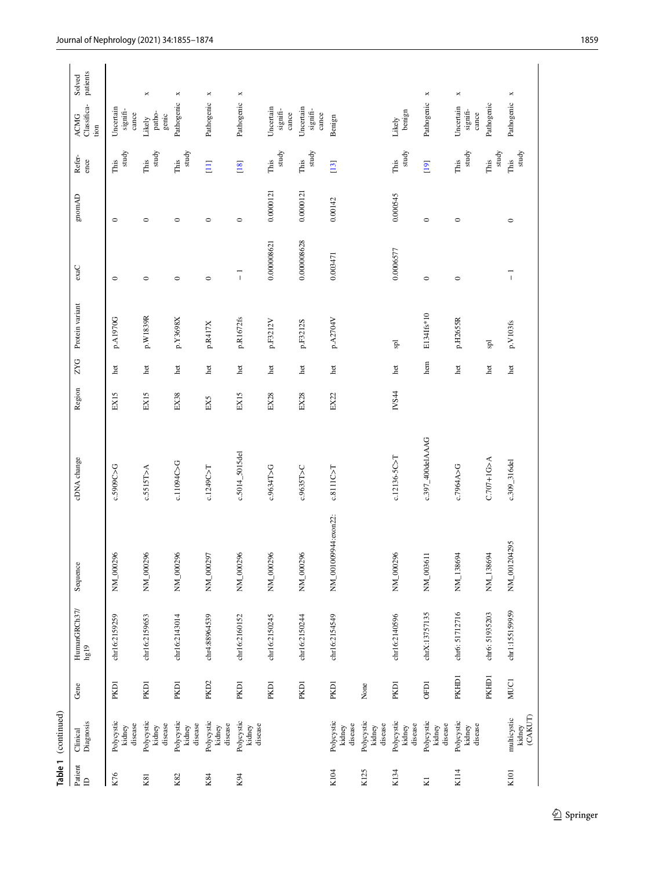|                     | Table 1 (continued)              |                  |                      |                      |                    |        |            |                 |             |                                                                                                    |                |                                       |                       |
|---------------------|----------------------------------|------------------|----------------------|----------------------|--------------------|--------|------------|-----------------|-------------|----------------------------------------------------------------------------------------------------|----------------|---------------------------------------|-----------------------|
| Patient $\mathbb D$ | Diagnosis<br>Clinical            | Gene             | HumanGRCh37/<br>hg19 | Sequence             | cDNA change        | Region | <b>ZYG</b> | Protein variant | exaC        | $\ensuremath{\mathsf{gmm}\xspace}\xspace\negthinspace\negthinspace\ensuremath{\mathsf{AD}}\xspace$ | Refer-<br>ence | Classifica-<br><b>ACMG</b><br>tion    | patients<br>Solved    |
| K76                 | Polycystic<br>disease<br>kidney  | PKD1             | chr16:2159259        | NM_000296            | c.5909C>G          | EX15   | het        | p.A1970G        | $\circ$     | $\circ$                                                                                            | study<br>This  | Uncertain<br>signifi-<br>$c$ an $c$ e |                       |
| K81                 | Polycystic<br>disease<br>kidney  | PKD1             | chr16:2159653        | NM_000296            | c.5515T>A          | EX15   | het        | p.W1839R        | $\circ$     | $\circ$                                                                                            | study<br>This  | patho-<br>${\rm genic}$<br>Likely     | $\Join$               |
| K82                 | Polycystic<br>disease<br>kidney  | PKD1             | chr16:2143014        | NM_000296            | c.11094C>G         | EX38   | het        | p.Y3698X        | $\circ$     | $\circ$                                                                                            | study<br>This  | Pathogenic                            | $\Join$               |
| K84                 | Polycystic<br>disease<br>kidney  | PKD <sub>2</sub> | chr4:88964539        | NM_000297            | c.1249C>T          | EX5    | het        | p.R417X         | $\circ$     | $\circ$                                                                                            | $\Xi$          | Pathogenic                            | $\Join$               |
| K94                 | Polycystic<br>disease<br>kidney  | PKD1             | chr16:2160152        | NM_000296            | $c.5014\_5015$ del | EX15   | het        | p.R1672fs       | ī           | $\circ$                                                                                            | $[18]$         | Pathogenic                            | $\,\varkappa$         |
|                     |                                  | PKD1             | chr16:2150245        | NM_000296            | c.9634T>G          | EX28   | het        | p.F3212V        | 0.000008621 | 0.0000121                                                                                          | study<br>This  | Uncertain<br>signifi-<br>$c$ an $c$ e |                       |
|                     |                                  | PKD1             | chr16:2150244        | NM_000296            | c.9635T>C          | EX28   | het        | p.F3212S        | 0.000008628 | 0.0000121                                                                                          | study<br>This  | Uncertain<br>signifi-<br>cance        |                       |
| K104                | Polycystic<br>disease<br>kidney  | PKD1             | chr16:2154549        | NM_001009944:exon22: | c.8111C > T        | EX22   | het        | p.A2704V        | 0.003471    | 0.00142                                                                                            | $[13]$         | Benign                                |                       |
| K125                | Polycystic<br>disease<br>kidney  | None             |                      |                      |                    |        |            |                 |             |                                                                                                    |                |                                       |                       |
| K134                | Polycystic<br>disease<br>kidney  | PKD1             | chr16:2140596        | NM_000296            | c.12136-5C>T       | IVS44  | het        | <b>g</b>        | 0.0006577   | 0.000545                                                                                           | study<br>This  | benign<br>Likely                      |                       |
| N                   | Polycystic<br>disease<br>kidney  | <b>OFD1</b>      | chrX:13757135        | NM_003611            | c.397_400delAAAG   |        | hem        | E134Ifs*10      | $\circ$     | $\circ$                                                                                            | $[19]$         | Pathogenic                            | ×                     |
| K114                | Polycystic<br>disease<br>kidney  | PKHD1            | chr6: 51712716       | NM_138694            | c.7964A>G          |        | het        | p.H2655R        | $\circ$     | $\circ$                                                                                            | study<br>This  | Uncertain<br>signifi-<br>$c$ ance     | $\boldsymbol{\times}$ |
|                     |                                  | PKHD1            | chr6: 51935203       | NM_138694            | $C.707+1G > A$     |        | het        | <b>g</b>        |             |                                                                                                    | study<br>This  | Pathogenic                            |                       |
| K101                | kidney<br>(CAKUT)<br>multicystic | <b>MUC1</b>      | chr1:155159959       | NM_001204295         | c.309_316del       |        | het        | p.V103fs        | T           | $\circ$                                                                                            | study<br>This  | Pathogenic                            | $\pmb{\times}$        |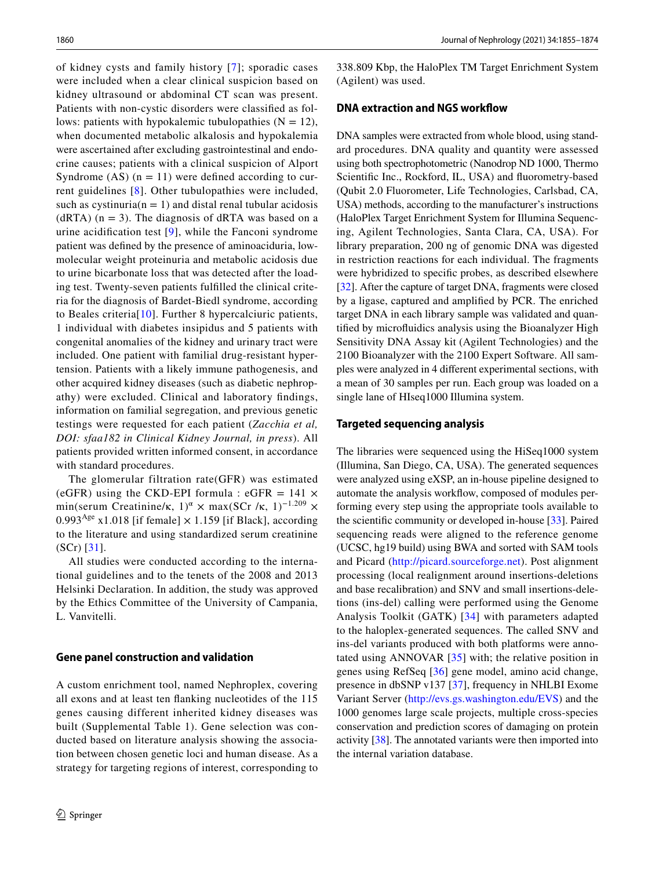of kidney cysts and family history [[7\]](#page-17-5); sporadic cases were included when a clear clinical suspicion based on kidney ultrasound or abdominal CT scan was present. Patients with non-cystic disorders were classifed as follows: patients with hypokalemic tubulopathies  $(N = 12)$ , when documented metabolic alkalosis and hypokalemia were ascertained after excluding gastrointestinal and endocrine causes; patients with a clinical suspicion of Alport Syndrome  $(AS)$   $(n = 11)$  were defined according to current guidelines [[8](#page-17-6)]. Other tubulopathies were included, such as cystinuria( $n = 1$ ) and distal renal tubular acidosis  $(dRTA)$  (n = 3). The diagnosis of dRTA was based on a urine acidifcation test [\[9\]](#page-17-7), while the Fanconi syndrome patient was defned by the presence of aminoaciduria, lowmolecular weight proteinuria and metabolic acidosis due to urine bicarbonate loss that was detected after the loading test. Twenty-seven patients fulflled the clinical criteria for the diagnosis of Bardet-Biedl syndrome, according to Beales criteria[[10](#page-18-9)]. Further 8 hypercalciuric patients, 1 individual with diabetes insipidus and 5 patients with congenital anomalies of the kidney and urinary tract were included. One patient with familial drug-resistant hypertension. Patients with a likely immune pathogenesis, and other acquired kidney diseases (such as diabetic nephropathy) were excluded. Clinical and laboratory fndings, information on familial segregation, and previous genetic testings were requested for each patient (*Zacchia et al, DOI: sfaa182 in Clinical Kidney Journal, in press*). All patients provided written informed consent, in accordance with standard procedures.

The glomerular filtration rate(GFR) was estimated (eGFR) using the CKD-EPI formula : eGFR =  $141 \times$ min(serum Creatinine/κ, 1)<sup> $\alpha$ </sup> × max(SCr /κ, 1)<sup>-1.209</sup> × 0.993<sup>Age</sup> x1.018 [if female]  $\times$  1.159 [if Black], according to the literature and using standardized serum creatinine (SCr) [\[31\]](#page-18-10).

All studies were conducted according to the international guidelines and to the tenets of the 2008 and 2013 Helsinki Declaration. In addition, the study was approved by the Ethics Committee of the University of Campania, L. Vanvitelli.

### **Gene panel construction and validation**

A custom enrichment tool, named Nephroplex, covering all exons and at least ten fanking nucleotides of the 115 genes causing different inherited kidney diseases was built (Supplemental Table 1). Gene selection was conducted based on literature analysis showing the association between chosen genetic loci and human disease. As a strategy for targeting regions of interest, corresponding to 338.809 Kbp, the HaloPlex TM Target Enrichment System (Agilent) was used.

### **DNA extraction and NGS workfow**

DNA samples were extracted from whole blood, using standard procedures. DNA quality and quantity were assessed using both spectrophotometric (Nanodrop ND 1000, Thermo Scientifc Inc., Rockford, IL, USA) and fuorometry-based (Qubit 2.0 Fluorometer, Life Technologies, Carlsbad, CA, USA) methods, according to the manufacturer's instructions (HaloPlex Target Enrichment System for Illumina Sequencing, Agilent Technologies, Santa Clara, CA, USA). For library preparation, 200 ng of genomic DNA was digested in restriction reactions for each individual. The fragments were hybridized to specifc probes, as described elsewhere [\[32](#page-18-11)]. After the capture of target DNA, fragments were closed by a ligase, captured and amplifed by PCR. The enriched target DNA in each library sample was validated and quantifed by microfuidics analysis using the Bioanalyzer High Sensitivity DNA Assay kit (Agilent Technologies) and the 2100 Bioanalyzer with the 2100 Expert Software. All samples were analyzed in 4 diferent experimental sections, with a mean of 30 samples per run. Each group was loaded on a single lane of HIseq1000 Illumina system.

#### **Targeted sequencing analysis**

The libraries were sequenced using the HiSeq1000 system (Illumina, San Diego, CA, USA). The generated sequences were analyzed using eXSP, an in-house pipeline designed to automate the analysis workflow, composed of modules performing every step using the appropriate tools available to the scientifc community or developed in-house [[33\]](#page-18-12). Paired sequencing reads were aligned to the reference genome (UCSC, hg19 build) using BWA and sorted with SAM tools and Picard ([http://picard.sourceforge.net\)](http://picard.sourceforge.net). Post alignment processing (local realignment around insertions-deletions and base recalibration) and SNV and small insertions-deletions (ins-del) calling were performed using the Genome Analysis Toolkit (GATK) [\[34\]](#page-18-13) with parameters adapted to the haloplex-generated sequences. The called SNV and ins-del variants produced with both platforms were annotated using ANNOVAR [\[35\]](#page-18-14) with; the relative position in genes using RefSeq [[36](#page-18-15)] gene model, amino acid change, presence in dbSNP v137 [\[37](#page-18-16)], frequency in NHLBI Exome Variant Server [\(http://evs.gs.washington.edu/EVS](http://evs.gs.washington.edu/EVS)) and the 1000 genomes large scale projects, multiple cross-species conservation and prediction scores of damaging on protein activity [\[38](#page-18-17)]. The annotated variants were then imported into the internal variation database.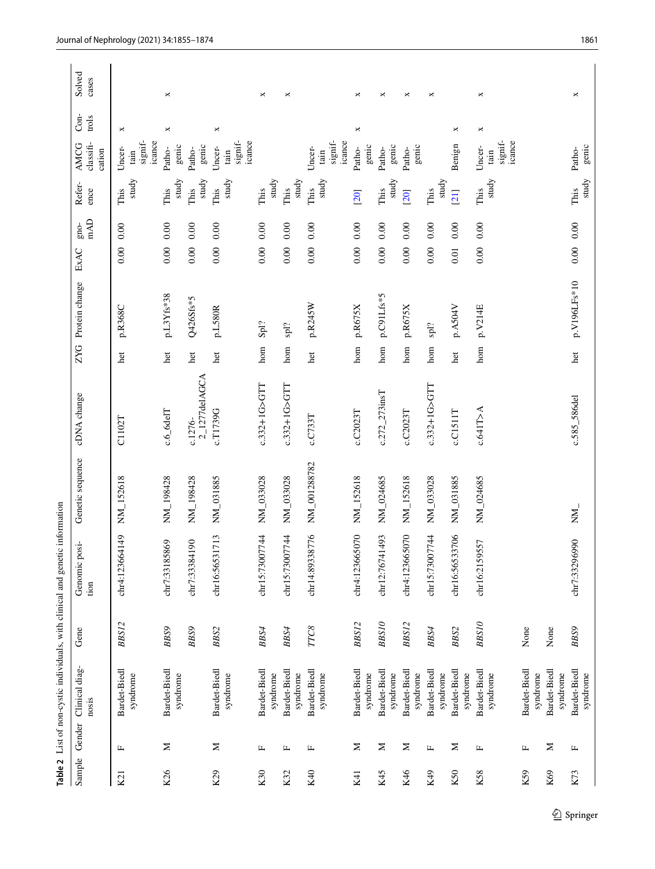<span id="page-6-0"></span>

|                 |        |                          |              | Table 2 List of non-cystic individuals, with clinical and genetic information |                  |                          |     |                            |      |                      |                |                                                       |               |                 |
|-----------------|--------|--------------------------|--------------|-------------------------------------------------------------------------------|------------------|--------------------------|-----|----------------------------|------|----------------------|----------------|-------------------------------------------------------|---------------|-----------------|
| Sample          | Gender | Clinical diag-<br>nosis  | Gene         | Genomic posi-<br>tion                                                         | Genetic sequence | cDNA change              |     | ZYG Protein change         | ExAC | mAD<br>$g_{\rm 100}$ | Refer-<br>ence | classifi-<br>AMCG<br>cation                           | Con-<br>trols | Solved<br>cases |
| K21             | Щ      | Bardet-Biedl<br>syndrome | BBS12        | chr4:123664149                                                                | NM_152618        | C1102T                   | het | p.R368C                    | 0.00 | 0.00                 | study<br>This  | icance<br>signif-<br>Uncer-<br>tain                   | $\Join$       |                 |
| K <sub>26</sub> | Σ      | Bardet-Biedl<br>syndrome | BBS9         | chr7:33185869                                                                 | NM_198428        | $c.6$ _6delT             | het | p.L3Yfs*38                 | 0.00 | $0.00\,$             | study<br>This  | genic<br>Patho-                                       | ×             | ×               |
|                 |        |                          | BBS9         | chr7:33384190                                                                 | NM_198428        | 2_1277delAGCA<br>c.1276- | het | Q426Sfs*5                  | 0.00 | 0.00                 | study<br>This  | genic<br>Patho-                                       |               |                 |
| K29             | Σ      | Bardet-Biedl<br>syndrome | BAS2         | chr16:56531713                                                                | NM_031885        | c.T1739G                 | het | p.L580R                    | 0.00 | 0.00                 | study<br>This  | signif-<br>icance<br>Uncer-<br>tain                   | ×             |                 |
| K30             | Щ      | Bardet-Biedl<br>syndrome | BBS4         | chr15:73007744                                                                | NM_033028        | c.332+1G>GTT             | hom | Spl?                       | 0.00 | 0.00                 | study<br>This  |                                                       |               | ×               |
| K32             | Щ      | Bardet-Biedl<br>syndrome | $B\bar{B}S4$ | chr15:73007744                                                                | NM_033028        | c.332+1G>GTT             | hom | $\mathop{\rm sh}\nolimits$ | 0.00 | 0.00                 | study<br>This  |                                                       |               | ×               |
| K40             | Щ      | Bardet-Biedl<br>syndrome | TTC8         | chr14:89338776                                                                | NM_001288782     | $c$ . $C$ 733 $T$        | het | p.R245W                    | 0.00 | 0.00                 | study<br>This  | signif-<br>icance<br>Uncer-<br>tain                   |               |                 |
| K41             | Σ      | Bardet-Biedl<br>syndrome | BBS12        | chr4:123665070                                                                | NM_152618        | c.C2023T                 | hom | p.R675X                    | 0.00 | 0.00                 | [20]           | genic<br>Patho-                                       | $\bowtie$     | ×               |
| K45             | Σ      | Bardet-Biedl<br>syndrome | <b>BBS10</b> | chr12:76741493                                                                | NM_024685        | $c.272$ _273insT         | hom | p.C91Lfs*5                 | 0.00 | 0.00                 | study<br>This  | genic<br>Patho-                                       |               | ×               |
| K46             | Σ      | Bardet-Biedl<br>syndrome | BBS12        | chr4:123665070                                                                | NM_152618        | c.C2023T                 | hom | p.R675X                    | 0.00 | 0.00                 | [20]           | genic<br>Patho-                                       |               | ×               |
| K49             | Щ      | Bardet-Biedl<br>syndrome | BBS4         | chr15:73007744                                                                | NM_033028        | c.332+1G>GTT             | hom | $\mathrm{spl?}$            | 0.00 | 0.00                 | study<br>This  |                                                       |               | ×               |
| K50             | Σ      | Bardet-Biedl<br>syndrome | BBS2         | chr16:56533706                                                                | NM_031885        | c.C1511T                 | het | p.A504V                    | 0.01 | 0.00                 | [21]           | Benign                                                | ×             |                 |
| K58             | Щ      | Bardet-Biedl<br>syndrome | <b>BBS10</b> | chr16:2159557                                                                 | NM_024685        | c.641T>A                 | hom | p.V214E                    | 0.00 | 0.00                 | study<br>This  | $\mathbf{signif}\text{-}$<br>icance<br>Uncer-<br>tain | $\Join$       | $\Join$         |
| K59             | Щ      | Bardet-Biedl<br>syndrome | None         |                                                                               |                  |                          |     |                            |      |                      |                |                                                       |               |                 |
| K69             | Σ      | Bardet-Biedl<br>syndrome | None         |                                                                               |                  |                          |     |                            |      |                      |                |                                                       |               |                 |
| K73             | Щ      | Bardet-Biedl<br>syndrome | <b>BBS9</b>  | chr7:33296990                                                                 | $\sum_{i=1}^{n}$ | c.585_586del             | het | p.V196LFs*10               |      | $0.00\ 0.00$         | study<br>This  | genic<br>Patho-                                       |               | ×               |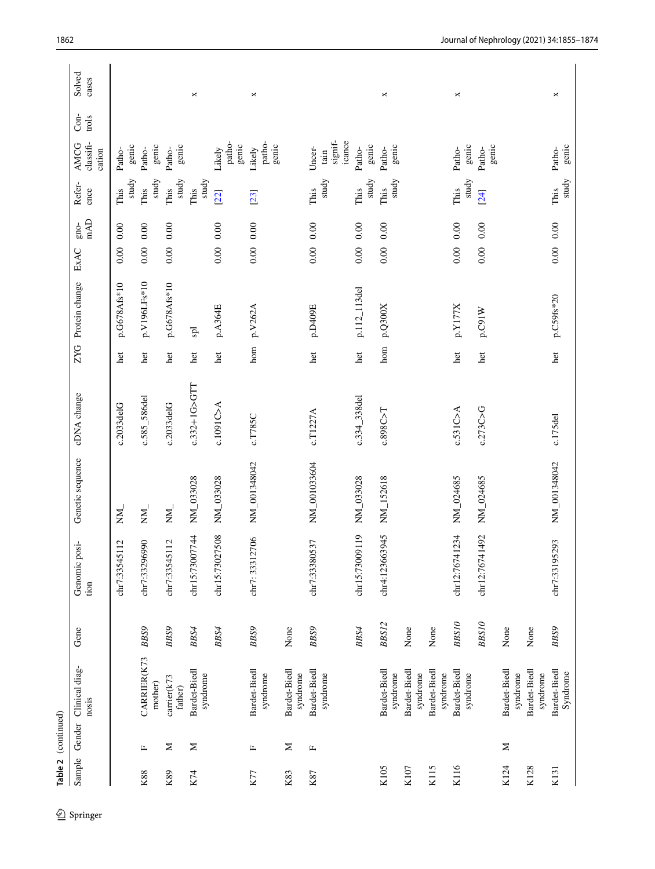| Sample | Gender | Clinical diag-<br>nosis  | Gene         | Genomic posi-<br>tion | Genetic sequence | cDNA change  |     | ZYG Protein change | ExAC         | Refer-<br>$enc$ e $nc$ e $nc$<br>$\mathbb{A}\mathbb{D}$<br>gno- | classifi-<br>AMCG<br>cation         | Con-<br>trols | cases |
|--------|--------|--------------------------|--------------|-----------------------|------------------|--------------|-----|--------------------|--------------|-----------------------------------------------------------------|-------------------------------------|---------------|-------|
|        |        |                          |              | chr7:33545112         | $\sum_{i=1}^{n}$ | c.2033deIG   | het | p.G678Afs*10       | 0.00         | study<br>This<br>$0.00\,$                                       | genic<br>Patho-                     |               |       |
| K88    | щ      | CARRIER(K73<br>mother)   | <b>BBS9</b>  | chr7:33296990         | $\sum_{i=1}^{n}$ | c.585_586del | het | p.V196LFs*10       | 0.00         | study<br>This<br>0.00                                           | genic<br>Patho-                     |               |       |
| K89    | $\geq$ | carrier(k73<br>father)   | <b>BBS9</b>  | chr7:33545112         | NN.              | c.2033deIG   | het | p.G678Afs*10       | 0.00         | study<br>This<br>$0.00\,$                                       | genic<br>Patho-                     |               |       |
| K74    | $\geq$ | Bardet-Biedl<br>syndrome | BBS4         | chr15:73007744        | NM_033028        | c.332+1G>GTT | het | ЪŚ                 |              | study<br>This                                                   |                                     |               |       |
|        |        |                          | BBS4         | 7508<br>chr15:7302    | NM_033028        | c.1091C > A  | het | p.A364E            | 0.00         | [22]<br>0.00                                                    | patho-<br>genic<br>Likely           |               |       |
| K77    | Щ      | Bardet-Biedl<br>syndrome | <b>BBS9</b>  | chr7: 33312706        | NM_001348042     | c.T785C      | hom | p.V262A            | $0.00\ 0.00$ | [23]                                                            | patho-<br>genic<br>Likely           |               |       |
| K83    | Σ      | Bardet-Biedl<br>syndrome | None         |                       |                  |              |     |                    |              |                                                                 |                                     |               |       |
| K87    | Щ      | Bardet-Biedl<br>syndrome | <b>BBS9</b>  | chr7:33380537         | NM_001033604     | c.T1227A     | het | p.D409E            | 0.00         | study<br>This<br>0.00                                           | signif-<br>icance<br>Uncer-<br>tain |               |       |
|        |        |                          | $BBS4$       | chr15:73009119        | NM_033028        | c.334_338del | het | p.112_113del       | 0.00         | study<br>This<br>0.00                                           | genic<br>Patho-                     |               |       |
| K105   |        | Bardet-Biedl<br>syndrome | BBS12        | chr4:123663945        | NM_152618        | c.898C > T   | hom | p.Q300X            | 0.00         | study<br>This<br>0.00                                           | genic<br>Patho-                     |               |       |
| K107   |        | Bardet-Biedl<br>syndrome | None         |                       |                  |              |     |                    |              |                                                                 |                                     |               |       |
| K115   |        | Bardet-Biedl<br>syndrome | None         |                       |                  |              |     |                    |              |                                                                 |                                     |               |       |
| K116   |        | Bardet-Biedl<br>syndrome | <b>BBS10</b> | chr12:76741234        | NM_024685        | c.531C > A   | het | p.Y177X            | 0.00         | study<br>This<br>0.00                                           | genic<br>Patho-                     |               |       |
|        |        |                          | <b>BBS10</b> | chr12:76741492        | NM_024685        | c.273C > G   | het | p.C91W             | 0.00         | [24]<br>0.00                                                    | genic<br>Patho-                     |               |       |
| K124   | Σ      | Bardet-Biedl<br>syndrome | None         |                       |                  |              |     |                    |              |                                                                 |                                     |               |       |
| K128   |        | Bardet-Biedl<br>syndrome | None         |                       |                  |              |     |                    |              |                                                                 |                                     |               |       |
| K131   |        | Bardet-Biedl<br>Syndrome | <b>BBS9</b>  | chr7:33195293         | NM_001348042     | c.175del     | het | p.C59fs*20         | $0.00\ 0.00$ | This                                                            | Patho-                              |               |       |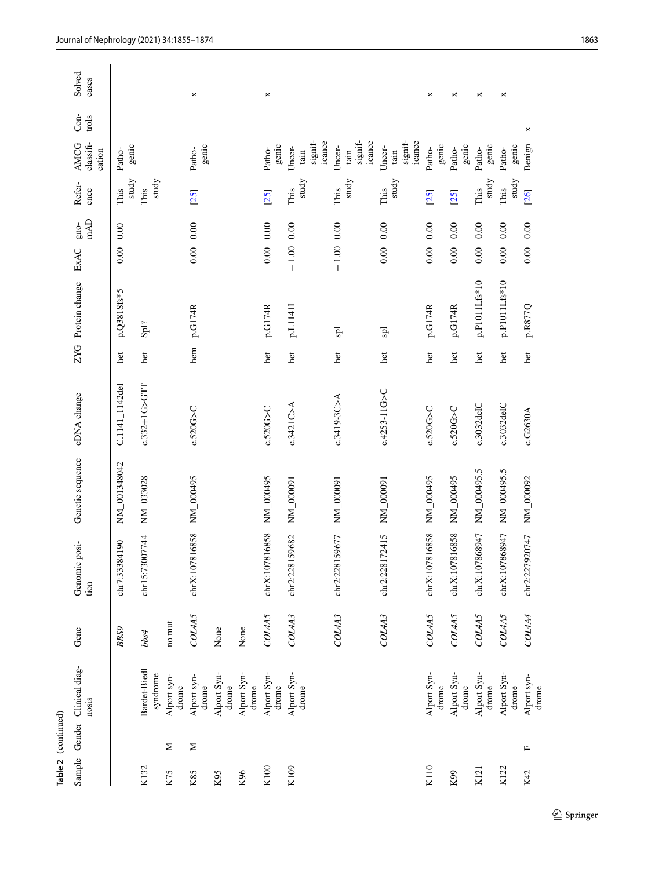|                 | Table 2 (continued) |                          |             |                       |                  |                   |            |                |              |             |                |                                     |                 |                 |
|-----------------|---------------------|--------------------------|-------------|-----------------------|------------------|-------------------|------------|----------------|--------------|-------------|----------------|-------------------------------------|-----------------|-----------------|
| Sample          | Gender              | Clinical diag-<br>nosis  | Gene        | Genomic posi-<br>tion | Genetic sequence | cDNA change       | <b>ZYG</b> | Protein change | ExAC         | mAD<br>gno- | Refer-<br>ence | classifi-<br>AMCG<br>cation         | $Con-$<br>trols | Solved<br>cases |
|                 |                     |                          | <b>BBS9</b> | chr7:33384190         | NM_001348042     | C.1141_1142del    | het        | p.Q381Sfs*5    | 0.00         | 0.00        | study<br>This  | genic<br>Patho-                     |                 |                 |
| K132            |                     | Bardet-Biedl<br>syndrome | bbs4        | chr15:73007744        | NM_033028        | c.332+1G>GTT      | het        | ${\bf Spl?}$   |              |             | study<br>This  |                                     |                 |                 |
| K <sub>75</sub> | Σ                   | Alport syn-<br>drome     | no mut      |                       |                  |                   |            |                |              |             |                |                                     |                 |                 |
| K85             | Σ                   | Alport syn-<br>drome     | COL4A5      | chrX:107816858        | NM_000495        | c.520G>C          | hem        | p.G174R        | $0.00\ 0.00$ |             | [25]           | genic<br>Patho-                     |                 | ×               |
| K95             |                     | Alport Syn-<br>drome     | None        |                       |                  |                   |            |                |              |             |                |                                     |                 |                 |
| K96             |                     | Alport Syn-<br>drome     | None        |                       |                  |                   |            |                |              |             |                |                                     |                 |                 |
| K100            |                     | Alport Syn-<br>drome     | COL4A5      | chrX:107816858        | NM_000495        | c.520G            | het        | p.G174R        | $0.00\ 0.00$ |             | [25]           | genic<br>Patho-                     |                 | ×               |
| K109            |                     | Alport Syn-<br>drome     | COL4A3      | chr2:228159682        | NM_000091        | c.3421C > A       | het        | p.L1141I       | $-1.00$ 0.00 |             | study<br>This  | signif-<br>icance<br>Uncer-<br>tain |                 |                 |
|                 |                     |                          | COL4A3      | chr2:228159677        | NM_000091        | $c.3419 - 3C > A$ | het        | Ъq             | $-1.00$ 0.00 |             | study<br>This  | signif-<br>icance<br>Uncer-<br>tain |                 |                 |
|                 |                     |                          | COL4A3      | chr2:228172415        | NM_000091        | c.4253-11G>C      | het        | <b>g</b>       | 0.00         | 0.00        | study<br>This  | signif-<br>icance<br>Uncer-<br>tain |                 |                 |
| K110            |                     | Alport Syn-<br>drome     | COLAA5      | chrX:107816858        | NM_000495        | $c.520G$ >C       | het        | p.G174R        | $0.00\ 0.00$ |             | [25]           | genic<br>Patho-                     |                 | ×               |
| K99             |                     | Alport Syn-<br>drome     | COLAA5      | chrX:107816858        | NM_000495        | c.520G            | het        | p.G174R        | 0.00         | 0.00        | [25]           | genic<br>Patho-                     |                 | ×               |
| K121            |                     | Alport Syn-<br>drome     | COL4A5      | chrX:107868947        | NM_000495.5      | c.3032deIC        | het        | p.P1011Lfs*10  | 0.00         | 0.00        | study<br>This  | genic<br>Patho-                     |                 | ×               |
| K122            |                     | Alport Syn-<br>drome     | COL4A5      | chrX:107868947        | NM_000495.5      | c.3032deIC        | het        | p.P1011Lfs*10  | 0.00         | 0.00        | study<br>This  | genic<br>Patho-                     |                 | ×               |
| K42             | Щ                   | Alport syn-<br>drome     | COL4A4      | chr2:227920747        | NM_000092        | c.G2630A          | het        | p.R877Q        | 0.00         | 0.00        | [26]           | ×<br>Benign                         |                 |                 |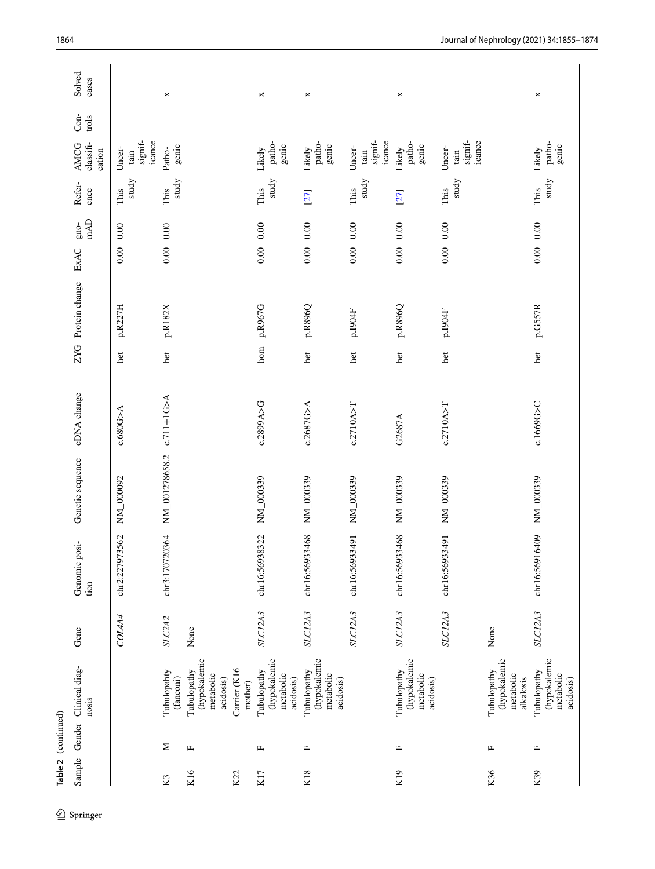| Sample                | Gender | Clinical diag-<br>nosis                               | Gene          | Genomic posi-<br>tion | Genetic sequence | cDNA change  |              | ZYG Protein change | $\mathbf{n}\mathbf{A}\mathbf{D}$<br>gno-<br>ExAC | Refer-<br>ence | $Con-$<br>trols<br>classifi-<br>AMCG<br>cation        | Solved<br>cases |
|-----------------------|--------|-------------------------------------------------------|---------------|-----------------------|------------------|--------------|--------------|--------------------|--------------------------------------------------|----------------|-------------------------------------------------------|-----------------|
|                       |        |                                                       | <b>COLAA4</b> | chr2:227973562        | NM_000092        | c.680G > A   | het          | p.R227H            | 0.00<br>0.00                                     | study<br>This  | signif-<br>icance<br>Uncer-<br>tain                   |                 |
| $\boldsymbol{\Sigma}$ | Σ      | Tubulopahty<br>(fanconi)                              | SLC2A2        | chr3:170720364        | NM_001278658.2   | $c.711+1G>A$ | $_{\rm het}$ | p.R182X            | $0.00\ 0.00$                                     | study<br>This  | genic<br>Patho-                                       | $\Join$         |
| K16                   | щ      | (hypokalemic<br>Tubulopathy<br>metabolic<br>acidosis) | None          |                       |                  |              |              |                    |                                                  |                |                                                       |                 |
| K22                   |        | Carrier (K16<br>mother)                               |               |                       |                  |              |              |                    |                                                  |                |                                                       |                 |
| K17                   | щ      | (hypokalemic<br>Tubulopathy<br>metabolic<br>acidosis) | SLC12A3       | chr16:56938322        | NM_000339        | c.2899A>G    | hom          | p.R967G            | $0.00\ 0.00$                                     | study<br>This  | patho-<br>genic<br>Likely                             | $\Join$         |
| K18                   | щ      | (hypokalemic<br>Tubulopathy<br>metabolic<br>acidosis) | SLC12A3       | chr16:56933468        | NM_000339        | c.2687G>A    | het          | p.R896Q            | $0.00\,$<br>0.00                                 | [27]           | patho-<br>genic<br>Likely                             | $\Join$         |
|                       |        |                                                       | SLC12A3       | chr16:56933491        | NM_000339        | c.2710A > T  | het          | $p.$ 1904 $F$      | $0.00\ 0.00$                                     | study<br>This  | $\mathbf{signif}\text{-}$<br>icance<br>Uncer-<br>tain |                 |
| K19                   | щ      | (hypokalemic<br>Tubulopathy<br>metabolic<br>acidosis) | SLC12A3       | chr16:56933468        | NM_000339        | G2687A       | het          | p.R896Q            | 0.00<br>0.00                                     | [27]           | patho-<br>genic<br>Likely                             | ×               |
|                       |        |                                                       | SLC12A3       | chr16:56933491        | NM_000339        | c.2710A > T  | het          | $p.1904F$          | 0.00<br>0.00                                     | study<br>This  | signif-<br>icance<br>Uncer-<br>tain                   |                 |
| K36                   | щ      | (hypokalemic<br>Tubulopathy<br>metabolic<br>alkalosis | None          |                       |                  |              |              |                    |                                                  |                |                                                       |                 |
| K39                   | щ      | (hypokalemic<br>Tubulopathy<br>metabolic<br>acidosis) | SLC12A3       | chr16:56916409        | NM_000339        | c.1669G>C    | het          | p.G557R            | $0.00\ 0.00$                                     | study<br>This  | patho-<br>genic<br>Likely                             | $\Join$         |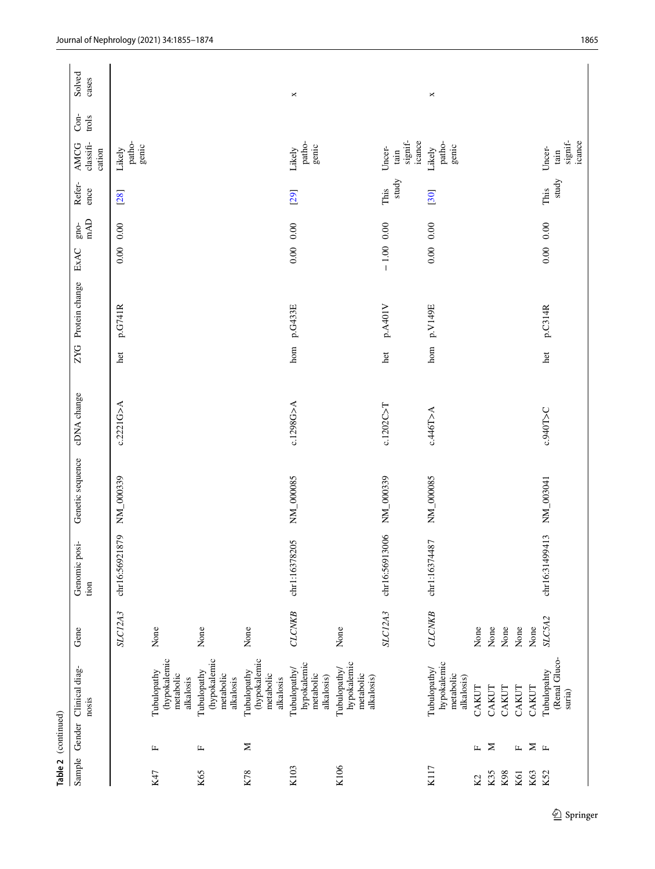|                 | Table 2 (continued) |                                                        |               |                       |                  |             |     |                |                              |                |                                                     |               |                 |
|-----------------|---------------------|--------------------------------------------------------|---------------|-----------------------|------------------|-------------|-----|----------------|------------------------------|----------------|-----------------------------------------------------|---------------|-----------------|
| Sample          |                     | Gender Clinical diag-<br>nosis                         | Gene          | Genomic posi-<br>tion | Genetic sequence | cDNA change | ZYG | Protein change | mAD<br>$g_{\rm 100}$<br>ExAC | Refer-<br>ence | classifi-<br>AMCG<br>cation                         | Con-<br>trols | Solved<br>cases |
|                 |                     |                                                        | SLC12A3       | 1879<br>chr16:5692    | NM_000339        | c.2221G > A | het | p.G741R        | 0.00<br>0.00                 | [28]           | patho-<br>genic<br>Likely                           |               |                 |
| K47             | Щ                   | (hypokalemic<br>Tubulopathy<br>metabolic<br>alkalosis  | None          |                       |                  |             |     |                |                              |                |                                                     |               |                 |
| K65             | щ                   | (hypokalemic<br>Tubulopathy<br>metabolic<br>alkalosis  | None          |                       |                  |             |     |                |                              |                |                                                     |               |                 |
| K78             | Σ                   | (hypokalemic<br>Tubulopathy<br>metabolic<br>alkalosis  | None          |                       |                  |             |     |                |                              |                |                                                     |               |                 |
| K103            |                     | hypokalemic<br>Tubulopathy/<br>metabolic<br>alkalosis) | <b>CLCNKB</b> | chr1:16378205         | NM_000085        | c.1298G>A   | hom | p.G433E        | $0.00\ 0.00$                 | [29]           | patho-<br>genic<br>Likely                           |               | $\Join$         |
| K106            |                     | hypokalemic<br>Tubulopathy/<br>metabolic<br>alkalosis) | None          |                       |                  |             |     |                |                              |                |                                                     |               |                 |
|                 |                     |                                                        | SLC12A3       | chr16:56913006        | NM_000339        | c.1202C > T | het | p.A40IV        | $-1.00\ 0.00$                | study<br>This  | $\operatorname{signif}$<br>icance<br>Uncer-<br>tain |               |                 |
| K117            |                     | hypokalemic<br>Tubulopathy/<br>metabolic<br>alkalosis) | <b>CLCNKB</b> | chr1:16374487         | NM_000085        | c.446T>A    | hom | p.V149E        | $0.00\ 0.00$                 | [30]           | patho-<br>genic<br>Likely                           |               | ×               |
| K <sub>2</sub>  | $\mathbf{r}$        | CAKUT                                                  | None          |                       |                  |             |     |                |                              |                |                                                     |               |                 |
| K35<br>K98      | Σ                   | CAKUT<br>CAKUT                                         | None<br>None  |                       |                  |             |     |                |                              |                |                                                     |               |                 |
| K61             | $\mathbf{r}$        | CAKUT                                                  | None          |                       |                  |             |     |                |                              |                |                                                     |               |                 |
| K63             | $\geq$              | CAKUT                                                  | None          |                       |                  |             |     |                |                              |                |                                                     |               |                 |
| K <sub>52</sub> | $\mathbf{L}$        | (Renal Gluco-<br>Tubulopahty<br>suria)                 | SLC5A2        | chr16:31499413        | NM_003041        | c.940T>C    | het | p.C314R        | $0.00\ 0.00$                 | study<br>This  | signif-<br>icance<br>Uncer-<br>tain                 |               |                 |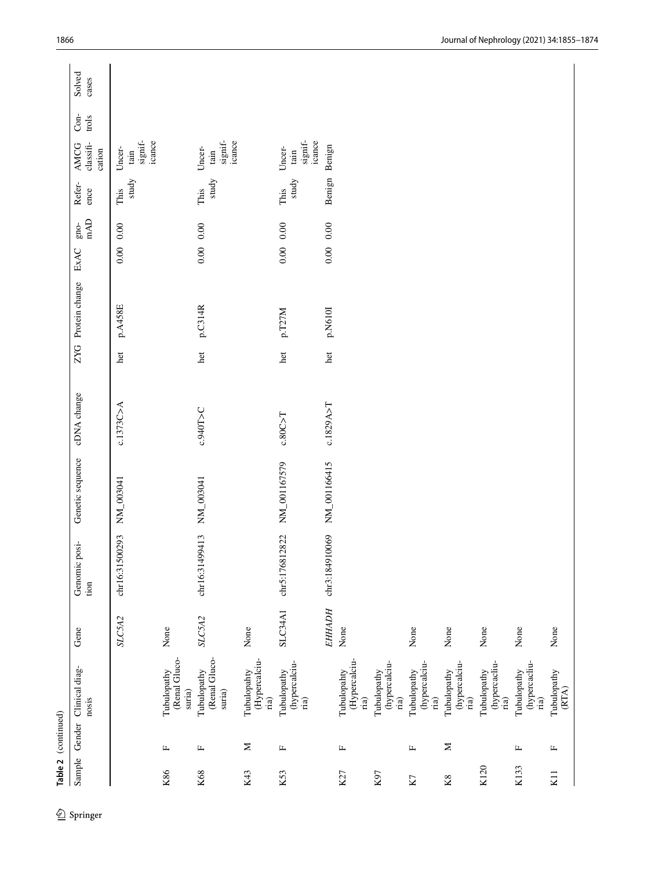|        | Table 2 (continued) |                                                  |                |                       |                  |             |     |                    |                              |                |                                                       |                 |                 |
|--------|---------------------|--------------------------------------------------|----------------|-----------------------|------------------|-------------|-----|--------------------|------------------------------|----------------|-------------------------------------------------------|-----------------|-----------------|
| Sample |                     | Gender Clinical diag-<br>nosis                   | Gene           | Genomic posi-<br>tion | Genetic sequence | cDNA change |     | ZYG Protein change | mAD<br>$g_{\rm 100}$<br>ExAC | Refer-<br>ence | classifi-<br>AMCG<br>cation                           | $Con-$<br>trols | Solved<br>cases |
|        |                     |                                                  | SLC5A2         | chr16:31500293        | NM_003041        | c.1373C > A | het | p.A458E            | $0.00\,$<br>0.00             | study<br>This  | signif-<br>icance<br>Uncer-<br>tain                   |                 |                 |
| K86    | $\mathbf{L}$        | (Renal Gluco-<br>Tubulopathy<br>suria)           | None           |                       |                  |             |     |                    |                              |                |                                                       |                 |                 |
| K68    | Щ                   | (Renal Gluco-<br>Tubulopathy<br>suria)           | SLC5A2         | chr16:31499413        | NM_003041        | c.940T>C    | het | p.C314R            | 0.00<br>0.00                 | study<br>This  | signif-<br>icance<br>Uncer-<br>tain                   |                 |                 |
| K43    | $\geq$              | (Hypercalciu-<br>Tubulopahty<br>$\dot{\rm na})$  | None           |                       |                  |             |     |                    |                              |                |                                                       |                 |                 |
| K53    | $\mathbf{L}$        | (hypercalciu-<br>Tubulopathy<br>$_\mathrm{ria)}$ | <b>SLC34A1</b> | chr5:176812822        | NM_001167579     | c.80C > T   | het | p.T27M             | $0.00\,$<br>0.00             | study<br>This  | $\mathbf{signif}\text{-}$<br>icance<br>Uncer-<br>tain |                 |                 |
|        |                     |                                                  | <b>EHHADH</b>  | chr3:184910069        | NM_001166415     | c.1829A > T | het | p.N610I            | $0.00\,$<br>0.00             | Benign         | Benign                                                |                 |                 |
| K27    | $\mathbf{L}$        | (Hypercalciu-<br>Tubulopahty<br>$_\mathrm{ria)}$ | None           |                       |                  |             |     |                    |                              |                |                                                       |                 |                 |
| K97    |                     | (hypercalciu-<br>Tubulopathy<br>ria)             |                |                       |                  |             |     |                    |                              |                |                                                       |                 |                 |
| K7     | Щ                   | (hypercalciu-<br>Tubulopathy<br>ria)             | None           |                       |                  |             |     |                    |                              |                |                                                       |                 |                 |
| K8     | Σ                   | (hypercalciu-<br>Tubulopathy<br>ria)             | None           |                       |                  |             |     |                    |                              |                |                                                       |                 |                 |
| K120   |                     | (hypercacliu-<br>Tubulopathy<br>ria)             | None           |                       |                  |             |     |                    |                              |                |                                                       |                 |                 |
| K133   | Щ                   | (hypercacliu-<br>Tubulopathy<br>$_\mathrm{ria)}$ | None           |                       |                  |             |     |                    |                              |                |                                                       |                 |                 |
| K11    | $\mathbb{L}$        | Tubulopathy<br>(RTA)                             | None           |                       |                  |             |     |                    |                              |                |                                                       |                 |                 |
|        |                     |                                                  |                |                       |                  |             |     |                    |                              |                |                                                       |                 |                 |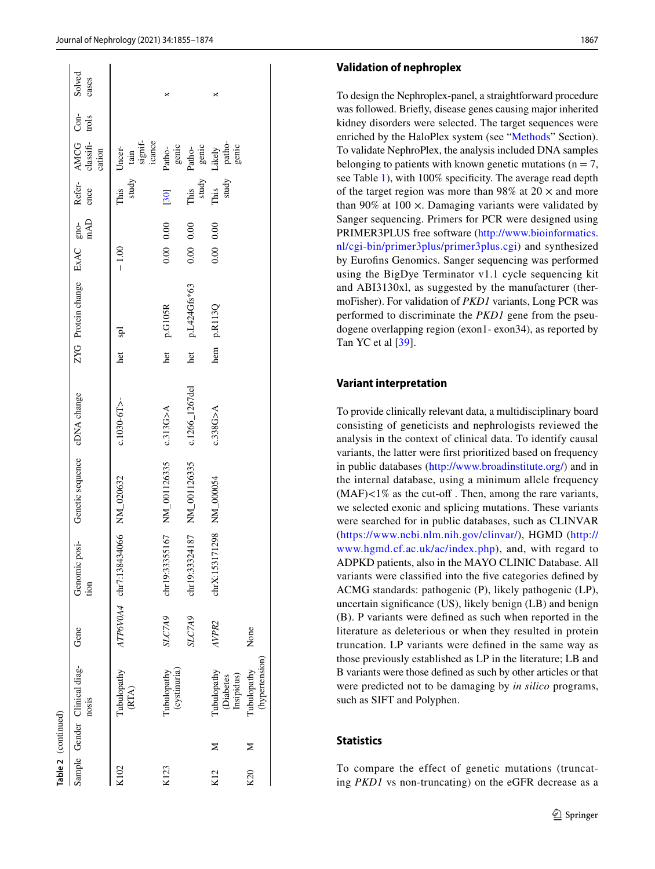|      | Table 2 (continued) |                                              |               |                                   |                              |                |         |                              |              |      |                        |                                                        |         |                 |
|------|---------------------|----------------------------------------------|---------------|-----------------------------------|------------------------------|----------------|---------|------------------------------|--------------|------|------------------------|--------------------------------------------------------|---------|-----------------|
|      |                     | Sample Gender Clinical diag-<br>nosis        | Gene          | Genomic posi-<br>tion             | Genetic sequence cDNA change |                |         | ZYG Protein change ExAC gno- |              | mAD  | ence                   | Refer- AMCG Con-<br>classifi-<br>cation                | $trols$ | Solved<br>cases |
| K102 |                     | Tubulopathy<br>(RTA)                         |               | ATP6V0A4 chr7:138434066 NM_020632 |                              | $c.1030-6T$    | het spl |                              | $-1.00$      |      | study<br>This          | tain<br>signif-<br>icance<br>Uncer-                    |         |                 |
| K123 |                     | (cystinuria)<br>Tubulopathy                  | SLC7A9        |                                   | chr19:33355167 NM_001126335  | c.313G>A       | het     | $p.G105R$                    | $0.00\ 0.00$ |      | $[30]$                 | genic<br>Patho-                                        |         |                 |
|      |                     |                                              | <b>SLC7A9</b> |                                   | chr19:33324187 NM_001126335  | c.1266_1267del | het     | p.L424Gfs*63                 | $0.00\ 0.00$ |      | This                   |                                                        |         |                 |
| K12  |                     | Tubulopathy<br>Insipidus)<br><b>Diabetes</b> | AVPR2         | chrX:153171298                    | NM_000054                    | c.338G > A     | hem     | p.R113Q                      | 0.00         | 0.00 | study<br>This<br>study | Patho-<br>genic<br>Likely<br>patho-<br>patho-<br>genic |         |                 |
| K20  | ⋝                   | (hypertension)<br>Tubulopathy                | None          |                                   |                              |                |         |                              |              |      |                        |                                                        |         |                 |

### **Validation of nephroplex**

To design the Nephroplex-panel, a straightforward procedure was followed. Briefy, disease genes causing major inherited kidney disorders were selected. The target sequences were enriched by the HaloPlex system (see "[Methods"](#page-1-0) Section). To validate NephroPlex, the analysis included DNA samples belonging to patients with known genetic mutations ( $n = 7$ , see Table [1](#page-2-0)), with 100% specificity. The average read depth of the target region was more than 98% at  $20 \times$  and more than 90% at 100  $\times$ . Damaging variants were validated by Sanger sequencing. Primers for PCR were designed using PRIMER3PLUS free software ([http://www.bioinformatics.](http://www.bioinformatics.nl/cgi-bin/primer3plus/primer3plus.cgi) [nl/cgi-bin/primer3plus/primer3plus.cgi\)](http://www.bioinformatics.nl/cgi-bin/primer3plus/primer3plus.cgi) and synthesized by Eurofns Genomics. Sanger sequencing was performed using the BigDye Terminator v1.1 cycle sequencing kit and ABI3130xl, as suggested by the manufacturer (thermoFisher). For validation of *PKD1* variants, Long PCR was performed to discriminate the *PKD1* gene from the pseudogene overlapping region (exon1- exon34), as reported by Tan YC et al [[39\]](#page-18-29).

### **Variant interpretation**

To provide clinically relevant data, a multidisciplinary board consisting of geneticists and nephrologists reviewed the analysis in the context of clinical data. To identify causal variants, the latter were frst prioritized based on frequency in public databases [\(http://www.broadinstitute.org/\)](http://www.broadinstitute.org/) and in the internal database, using a minimum allele frequency  $(MAF) < 1\%$  as the cut-off. Then, among the rare variants, we selected exonic and splicing mutations. These variants were searched for in public databases, such as CLINVAR ([https://www.ncbi.nlm.nih.gov/clinvar/\)](https://www.ncbi.nlm.nih.gov/clinvar/), HGMD ([http://](http://www.hgmd.cf.ac.uk/ac/index.php) [www.hgmd.cf.ac.uk/ac/index.php\)](http://www.hgmd.cf.ac.uk/ac/index.php), and, with regard to ADPKD patients, also in the MAYO CLINIC Database. All variants were classifed into the fve categories defned by ACMG standards: pathogenic (P), likely pathogenic (LP), uncertain signifcance (US), likely benign (LB) and benign (B). P variants were defned as such when reported in the literature as deleterious or when they resulted in protein truncation. LP variants were defned in the same way as those previously established as LP in the literature; LB and B variants were those defned as such by other articles or that were predicted not to be damaging by *in silico* programs, such as SIFT and Polyphen.

### **Statistics**

To compare the effect of genetic mutations (truncating *PKD1* vs non-truncating) on the eGFR decrease as a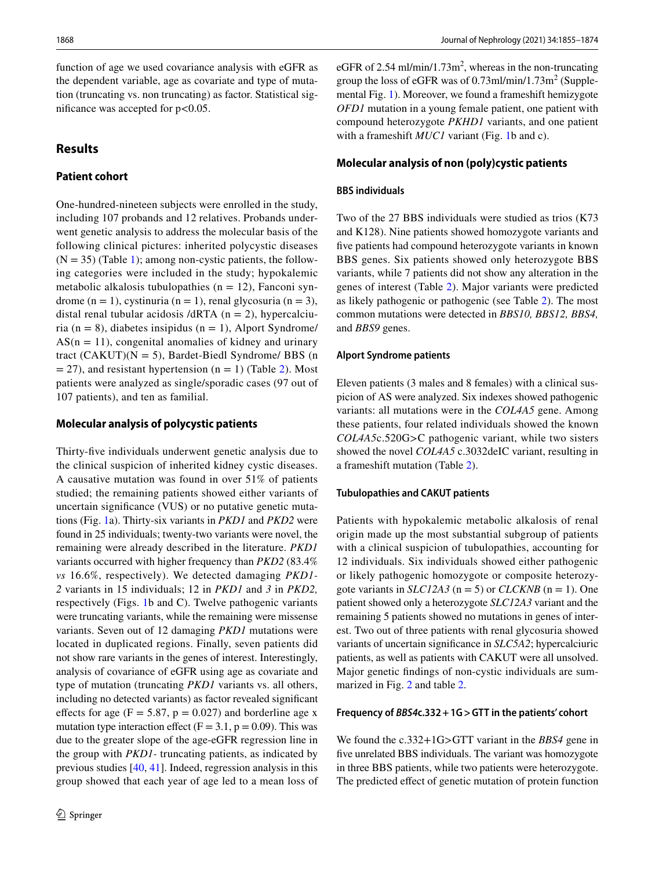function of age we used covariance analysis with eGFR as the dependent variable, age as covariate and type of mutation (truncating vs. non truncating) as factor. Statistical significance was accepted for  $p < 0.05$ .

# **Results**

# **Patient cohort**

One-hundred-nineteen subjects were enrolled in the study, including 107 probands and 12 relatives. Probands underwent genetic analysis to address the molecular basis of the following clinical pictures: inherited polycystic diseases  $(N = 35)$  (Table [1\)](#page-2-0); among non-cystic patients, the following categories were included in the study; hypokalemic metabolic alkalosis tubulopathies ( $n = 12$ ), Fanconi syndrome  $(n = 1)$ , cystinuria  $(n = 1)$ , renal glycosuria  $(n = 3)$ , distal renal tubular acidosis /dRTA  $(n = 2)$ , hypercalciuria (n = 8), diabetes insipidus (n = 1), Alport Syndrome/  $AS(n = 11)$ , congenital anomalies of kidney and urinary tract (CAKUT)( $N = 5$ ), Bardet-Biedl Syndrome/ BBS (n  $= 27$  $= 27$  $= 27$ ), and resistant hypertension (n = 1) (Table 2). Most patients were analyzed as single/sporadic cases (97 out of 107 patients), and ten as familial.

### **Molecular analysis of polycystic patients**

Thirty-fve individuals underwent genetic analysis due to the clinical suspicion of inherited kidney cystic diseases. A causative mutation was found in over 51% of patients studied; the remaining patients showed either variants of uncertain signifcance (VUS) or no putative genetic mutations (Fig. [1](#page-14-0)a). Thirty-six variants in *PKD1* and *PKD2* were found in 25 individuals; twenty-two variants were novel, the remaining were already described in the literature. *PKD1* variants occurred with higher frequency than *PKD2* (83.4% *vs* 16.6%, respectively). We detected damaging *PKD1- 2* variants in 15 individuals; 12 in *PKD1* and *3* in *PKD2,* respectively (Figs. [1b](#page-14-0) and C). Twelve pathogenic variants were truncating variants, while the remaining were missense variants. Seven out of 12 damaging *PKD1* mutations were located in duplicated regions. Finally, seven patients did not show rare variants in the genes of interest. Interestingly, analysis of covariance of eGFR using age as covariate and type of mutation (truncating *PKD1* variants vs. all others, including no detected variants) as factor revealed signifcant effects for age  $(F = 5.87, p = 0.027)$  and borderline age x mutation type interaction effect ( $F = 3.1$ ,  $p = 0.09$ ). This was due to the greater slope of the age-eGFR regression line in the group with *PKD1-* truncating patients, as indicated by previous studies [\[40](#page-18-30), [41](#page-18-31)]. Indeed, regression analysis in this group showed that each year of age led to a mean loss of

eGFR of 2.54 ml/min/1.73 $m^2$ , whereas in the non-truncating group the loss of eGFR was of  $0.73$ ml/min/ $1.73$ m<sup>2</sup> (Supplemental Fig. [1](#page-14-0)). Moreover, we found a frameshift hemizygote *OFD1* mutation in a young female patient, one patient with compound heterozygote *PKHD1* variants, and one patient with a frameshift *MUC1* variant (Fig. [1b](#page-14-0) and c).

### **Molecular analysis of non (poly)cystic patients**

#### **BBS individuals**

Two of the 27 BBS individuals were studied as trios (K73 and K128). Nine patients showed homozygote variants and five patients had compound heterozygote variants in known BBS genes. Six patients showed only heterozygote BBS variants, while 7 patients did not show any alteration in the genes of interest (Table [2](#page-6-0)). Major variants were predicted as likely pathogenic or pathogenic (see Table [2\)](#page-6-0). The most common mutations were detected in *BBS10, BBS12, BBS4,* and *BBS9* genes.

#### **Alport Syndrome patients**

Eleven patients (3 males and 8 females) with a clinical suspicion of AS were analyzed. Six indexes showed pathogenic variants: all mutations were in the *COL4A5* gene. Among these patients, four related individuals showed the known *COL4A5*c.520G>C pathogenic variant, while two sisters showed the novel *COL4A5* c.3032deIC variant, resulting in a frameshift mutation (Table [2](#page-6-0)).

#### **Tubulopathies and CAKUT patients**

Patients with hypokalemic metabolic alkalosis of renal origin made up the most substantial subgroup of patients with a clinical suspicion of tubulopathies, accounting for 12 individuals. Six individuals showed either pathogenic or likely pathogenic homozygote or composite heterozygote variants in *SLC12A3* ( $n = 5$ ) or *CLCKNB* ( $n = 1$ ). One patient showed only a heterozygote *SLC12A3* variant and the remaining 5 patients showed no mutations in genes of interest. Two out of three patients with renal glycosuria showed variants of uncertain signifcance in *SLC5A2*; hypercalciuric patients, as well as patients with CAKUT were all unsolved. Major genetic fndings of non-cystic individuals are summarized in Fig. [2](#page-16-0) and table [2.](#page-6-0)

### **Frequency of** *BBS4***c.332+1G>GTT in the patients' cohort**

We found the c.332+1G>GTT variant in the *BBS4* gene in fve unrelated BBS individuals. The variant was homozygote in three BBS patients, while two patients were heterozygote. The predicted effect of genetic mutation of protein function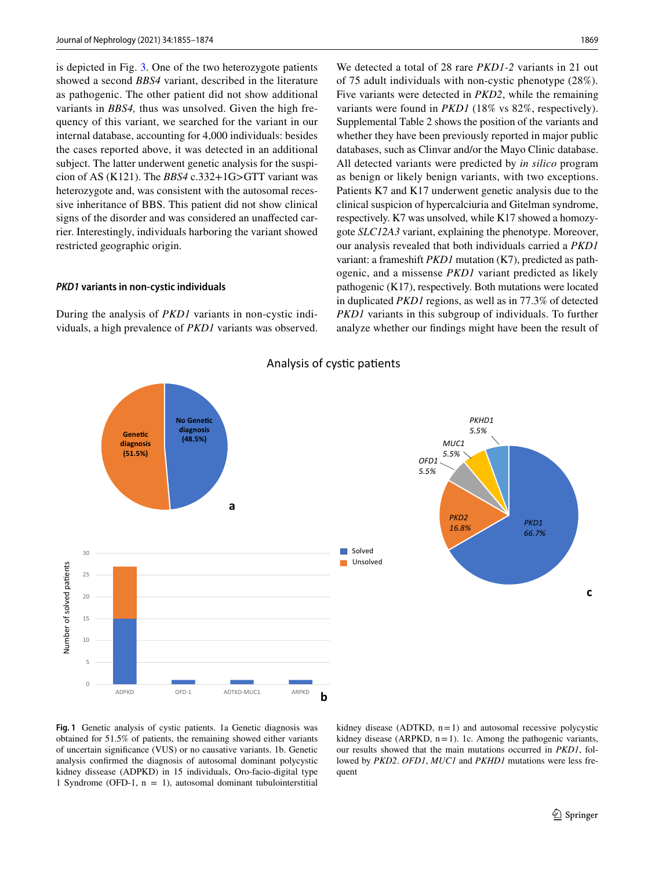is depicted in Fig. [3.](#page-17-8) One of the two heterozygote patients showed a second *BBS4* variant, described in the literature as pathogenic. The other patient did not show additional variants in *BBS4,* thus was unsolved. Given the high frequency of this variant, we searched for the variant in our internal database, accounting for 4,000 individuals: besides the cases reported above, it was detected in an additional subject. The latter underwent genetic analysis for the suspicion of AS (K121). The *BBS4* c.332+1G>GTT variant was heterozygote and, was consistent with the autosomal recessive inheritance of BBS. This patient did not show clinical signs of the disorder and was considered an unafected car-

#### *PKD1* **variants in non‑cystic individuals**

restricted geographic origin.

During the analysis of *PKD1* variants in non-cystic individuals, a high prevalence of *PKD1* variants was observed.

rier. Interestingly, individuals harboring the variant showed

We detected a total of 28 rare *PKD1-2* variants in 21 out of 75 adult individuals with non-cystic phenotype (28%). Five variants were detected in *PKD2*, while the remaining variants were found in *PKD1* (18% vs 82%, respectively). Supplemental Table 2 shows the position of the variants and whether they have been previously reported in major public databases, such as Clinvar and/or the Mayo Clinic database. All detected variants were predicted by *in silico* program as benign or likely benign variants, with two exceptions. Patients K7 and K17 underwent genetic analysis due to the clinical suspicion of hypercalciuria and Gitelman syndrome, respectively. K7 was unsolved, while K17 showed a homozygote *SLC12A3* variant, explaining the phenotype. Moreover, our analysis revealed that both individuals carried a *PKD1* variant: a frameshift *PKD1* mutation (K7), predicted as pathogenic, and a missense *PKD1* variant predicted as likely pathogenic (K17), respectively. Both mutations were located in duplicated *PKD1* regions, as well as in 77.3% of detected *PKD1* variants in this subgroup of individuals. To further analyze whether our fndings might have been the result of



Analysis of cystic patients

<span id="page-14-0"></span>**Fig. 1** Genetic analysis of cystic patients. 1a Genetic diagnosis was obtained for 51.5% of patients, the remaining showed either variants of uncertain signifcance (VUS) or no causative variants. 1b. Genetic analysis confrmed the diagnosis of autosomal dominant polycystic kidney dissease (ADPKD) in 15 individuals, Oro-facio-digital type 1 Syndrome (OFD-1,  $n = 1$ ), autosomal dominant tubulointerstitial kidney disease (ADTKD,  $n=1$ ) and autosomal recessive polycystic kidney disease (ARPKD,  $n=1$ ). 1c. Among the pathogenic variants, our results showed that the main mutations occurred in *PKD1*, followed by *PKD2*. *OFD1*, *MUC1* and *PKHD1* mutations were less frequent

**c**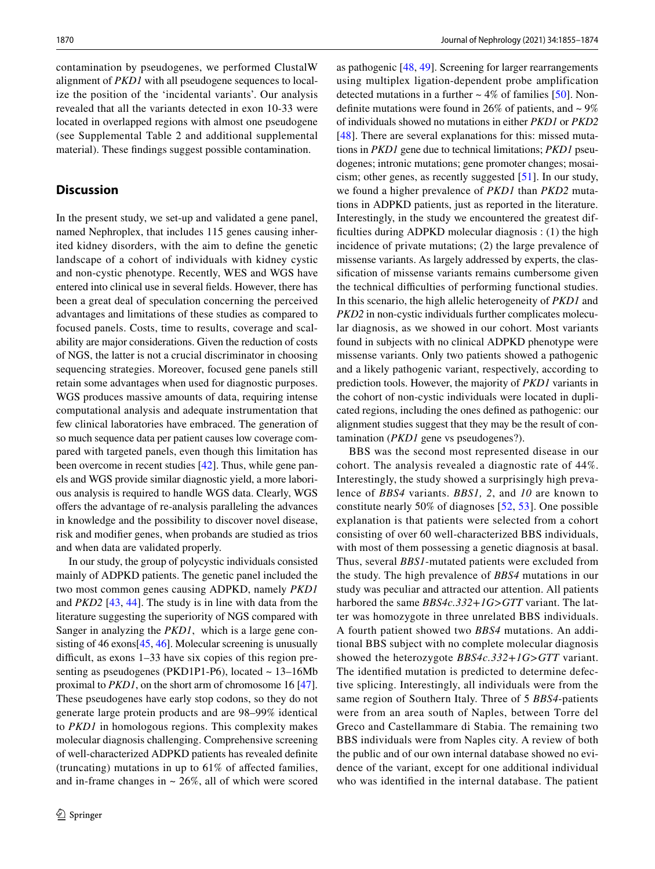contamination by pseudogenes, we performed ClustalW alignment of *PKD1* with all pseudogene sequences to localize the position of the 'incidental variants'. Our analysis revealed that all the variants detected in exon 10-33 were located in overlapped regions with almost one pseudogene (see Supplemental Table 2 and additional supplemental material). These fndings suggest possible contamination.

### **Discussion**

In the present study, we set-up and validated a gene panel, named Nephroplex, that includes 115 genes causing inherited kidney disorders, with the aim to defne the genetic landscape of a cohort of individuals with kidney cystic and non-cystic phenotype. Recently, WES and WGS have entered into clinical use in several felds. However, there has been a great deal of speculation concerning the perceived advantages and limitations of these studies as compared to focused panels. Costs, time to results, coverage and scalability are major considerations. Given the reduction of costs of NGS, the latter is not a crucial discriminator in choosing sequencing strategies. Moreover, focused gene panels still retain some advantages when used for diagnostic purposes. WGS produces massive amounts of data, requiring intense computational analysis and adequate instrumentation that few clinical laboratories have embraced. The generation of so much sequence data per patient causes low coverage compared with targeted panels, even though this limitation has been overcome in recent studies [\[42](#page-18-32)]. Thus, while gene panels and WGS provide similar diagnostic yield, a more laborious analysis is required to handle WGS data. Clearly, WGS ofers the advantage of re-analysis paralleling the advances in knowledge and the possibility to discover novel disease, risk and modifer genes, when probands are studied as trios and when data are validated properly.

In our study, the group of polycystic individuals consisted mainly of ADPKD patients. The genetic panel included the two most common genes causing ADPKD, namely *PKD1* and *PKD2* [[43,](#page-18-33) [44\]](#page-18-34). The study is in line with data from the literature suggesting the superiority of NGS compared with Sanger in analyzing the *PKD1*, which is a large gene con-sisting of 46 exons [\[45,](#page-18-35) [46\]](#page-19-0). Molecular screening is unusually difficult, as exons 1-33 have six copies of this region presenting as pseudogenes (PKD1P1-P6), located ~ 13-16Mb proximal to *PKD1*, on the short arm of chromosome 16 [\[47](#page-19-1)]. These pseudogenes have early stop codons, so they do not generate large protein products and are 98–99% identical to *PKD1* in homologous regions. This complexity makes molecular diagnosis challenging. Comprehensive screening of well-characterized ADPKD patients has revealed defnite (truncating) mutations in up to 61% of afected families, and in-frame changes in  $\sim$  26%, all of which were scored as pathogenic [[48,](#page-19-2) [49\]](#page-19-3). Screening for larger rearrangements using multiplex ligation-dependent probe amplification detected mutations in a further  $\sim$  4% of families [\[50](#page-19-4)]. Nondefinite mutations were found in 26% of patients, and  $\sim$  9% of individuals showed no mutations in either *PKD1* or *PKD2* [[48\]](#page-19-2). There are several explanations for this: missed mutations in *PKD1* gene due to technical limitations; *PKD1* pseudogenes; intronic mutations; gene promoter changes; mosaicism; other genes, as recently suggested [\[51](#page-19-5)]. In our study, we found a higher prevalence of *PKD1* than *PKD2* mutations in ADPKD patients, just as reported in the literature. Interestingly, in the study we encountered the greatest difficulties during ADPKD molecular diagnosis  $:(1)$  the high incidence of private mutations; (2) the large prevalence of missense variants. As largely addressed by experts, the classifcation of missense variants remains cumbersome given the technical difficulties of performing functional studies. In this scenario, the high allelic heterogeneity of *PKD1* and *PKD2* in non-cystic individuals further complicates molecular diagnosis, as we showed in our cohort. Most variants found in subjects with no clinical ADPKD phenotype were missense variants. Only two patients showed a pathogenic and a likely pathogenic variant, respectively, according to prediction tools. However, the majority of *PKD1* variants in the cohort of non-cystic individuals were located in duplicated regions, including the ones defned as pathogenic: our alignment studies suggest that they may be the result of contamination (*PKD1* gene vs pseudogenes?).

BBS was the second most represented disease in our cohort. The analysis revealed a diagnostic rate of 44%. Interestingly, the study showed a surprisingly high prevalence of *BBS4* variants. *BBS1, 2*, and *10* are known to constitute nearly 50% of diagnoses [[52](#page-19-6), [53\]](#page-19-7). One possible explanation is that patients were selected from a cohort consisting of over 60 well-characterized BBS individuals, with most of them possessing a genetic diagnosis at basal. Thus, several *BBS1*-mutated patients were excluded from the study. The high prevalence of *BBS4* mutations in our study was peculiar and attracted our attention. All patients harbored the same *BBS4c.332*+*1G*>*GTT* variant. The latter was homozygote in three unrelated BBS individuals. A fourth patient showed two *BBS4* mutations. An additional BBS subject with no complete molecular diagnosis showed the heterozygote *BBS4c.332*+*1G*>*GTT* variant. The identifed mutation is predicted to determine defective splicing. Interestingly, all individuals were from the same region of Southern Italy. Three of 5 *BBS4*-patients were from an area south of Naples, between Torre del Greco and Castellammare di Stabia. The remaining two BBS individuals were from Naples city. A review of both the public and of our own internal database showed no evidence of the variant, except for one additional individual who was identifed in the internal database. The patient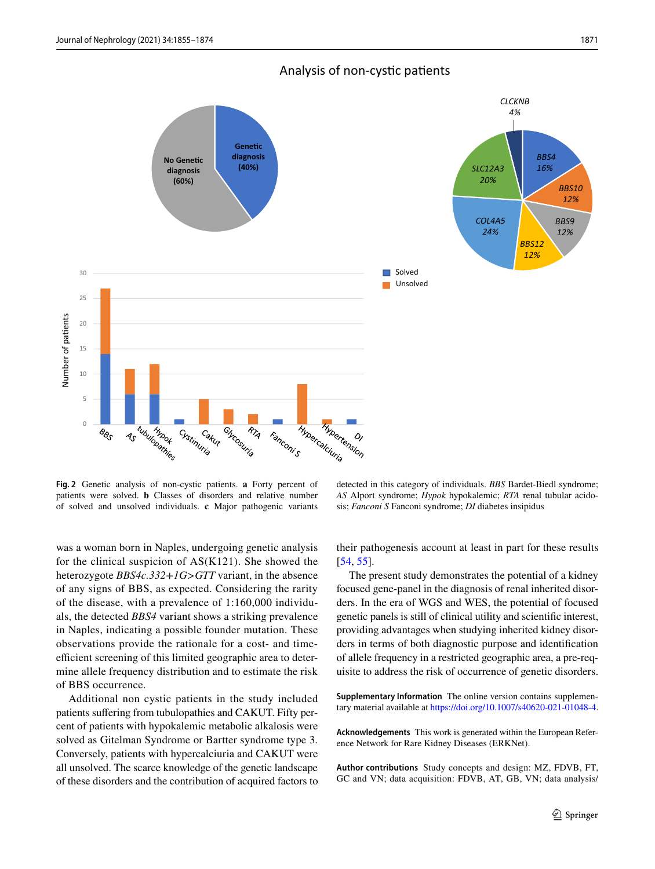

Analysis of non-cystic patients

<span id="page-16-0"></span>**Fig. 2** Genetic analysis of non-cystic patients. **a** Forty percent of patients were solved. **b** Classes of disorders and relative number of solved and unsolved individuals. **c** Major pathogenic variants

was a woman born in Naples, undergoing genetic analysis for the clinical suspicion of AS(K121). She showed the heterozygote *BBS4c.332*+*1G*>*GTT* variant, in the absence of any signs of BBS, as expected. Considering the rarity of the disease, with a prevalence of 1:160,000 individuals, the detected *BBS4* variant shows a striking prevalence in Naples, indicating a possible founder mutation. These observations provide the rationale for a cost- and timeefficient screening of this limited geographic area to determine allele frequency distribution and to estimate the risk of BBS occurrence.

Additional non cystic patients in the study included patients suffering from tubulopathies and CAKUT. Fifty percent of patients with hypokalemic metabolic alkalosis were solved as Gitelman Syndrome or Bartter syndrome type 3. Conversely, patients with hypercalciuria and CAKUT were all unsolved. The scarce knowledge of the genetic landscape of these disorders and the contribution of acquired factors to

detected in this category of individuals. *BBS* Bardet-Biedl syndrome; *AS* Alport syndrome; *Hypok* hypokalemic; *RTA* renal tubular acidosis; *Fanconi S* Fanconi syndrome; *DI* diabetes insipidus

their pathogenesis account at least in part for these results [[54,](#page-19-8) [55\]](#page-19-9).

The present study demonstrates the potential of a kidney focused gene-panel in the diagnosis of renal inherited disorders. In the era of WGS and WES, the potential of focused genetic panels is still of clinical utility and scientifc interest, providing advantages when studying inherited kidney disorders in terms of both diagnostic purpose and identifcation of allele frequency in a restricted geographic area, a pre-requisite to address the risk of occurrence of genetic disorders.

**Supplementary Information** The online version contains supplementary material available at<https://doi.org/10.1007/s40620-021-01048-4>.

**Acknowledgements** This work is generated within the European Reference Network for Rare Kidney Diseases (ERKNet).

**Author contributions** Study concepts and design: MZ, FDVB, FT, GC and VN; data acquisition: FDVB, AT, GB, VN; data analysis/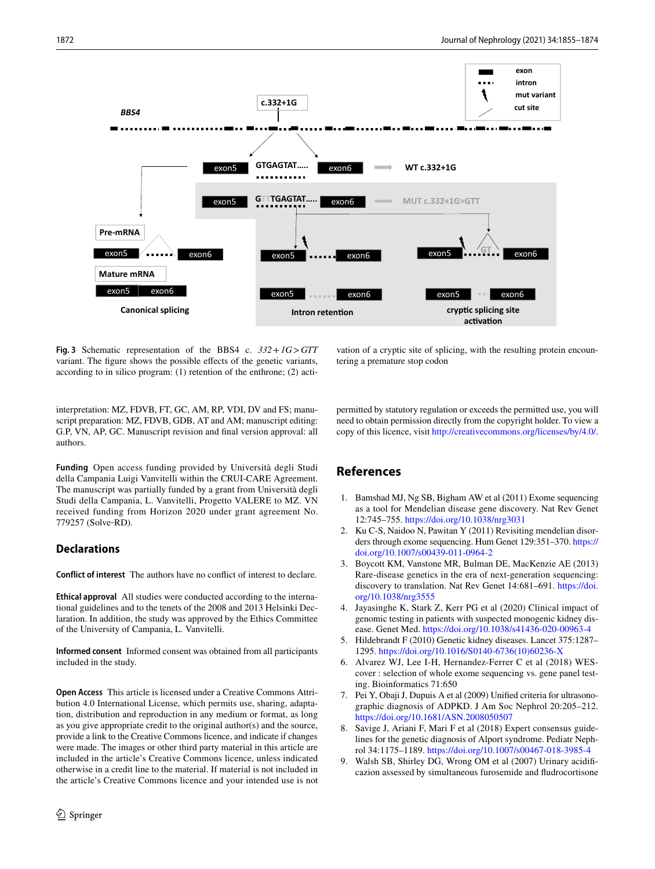

<span id="page-17-8"></span>**Fig. 3** Schematic representation of the BBS4 c. *332*+*1G*>*GTT* variant. The fgure shows the possible efects of the genetic variants, according to in silico program: (1) retention of the enthrone; (2) acti-

vation of a cryptic site of splicing, with the resulting protein encountering a premature stop codon

interpretation: MZ, FDVB, FT, GC, AM, RP, VDI, DV and FS; manuscript preparation: MZ, FDVB, GDB, AT and AM; manuscript editing: G.P, VN, AP, GC. Manuscript revision and fnal version approval: all authors.

**Funding** Open access funding provided by Università degli Studi della Campania Luigi Vanvitelli within the CRUI-CARE Agreement. The manuscript was partially funded by a grant from Università degli Studi della Campania, L. Vanvitelli, Progetto VALERE to MZ. VN received funding from Horizon 2020 under grant agreement No. 779257 (Solve‐RD).

# **Declarations**

**Conflict of interest** The authors have no confict of interest to declare.

**Ethical approval** All studies were conducted according to the international guidelines and to the tenets of the 2008 and 2013 Helsinki Declaration. In addition, the study was approved by the Ethics Committee of the University of Campania, L. Vanvitelli.

**Informed consent** Informed consent was obtained from all participants included in the study.

**Open Access** This article is licensed under a Creative Commons Attribution 4.0 International License, which permits use, sharing, adaptation, distribution and reproduction in any medium or format, as long as you give appropriate credit to the original author(s) and the source, provide a link to the Creative Commons licence, and indicate if changes were made. The images or other third party material in this article are included in the article's Creative Commons licence, unless indicated otherwise in a credit line to the material. If material is not included in the article's Creative Commons licence and your intended use is not permitted by statutory regulation or exceeds the permitted use, you will need to obtain permission directly from the copyright holder. To view a copy of this licence, visit<http://creativecommons.org/licenses/by/4.0/>.

# **References**

- <span id="page-17-0"></span>1. Bamshad MJ, Ng SB, Bigham AW et al (2011) Exome sequencing as a tool for Mendelian disease gene discovery. Nat Rev Genet 12:745–755.<https://doi.org/10.1038/nrg3031>
- 2. Ku C-S, Naidoo N, Pawitan Y (2011) Revisiting mendelian disorders through exome sequencing. Hum Genet 129:351–370. [https://](https://doi.org/10.1007/s00439-011-0964-2) [doi.org/10.1007/s00439-011-0964-2](https://doi.org/10.1007/s00439-011-0964-2)
- <span id="page-17-1"></span>3. Boycott KM, Vanstone MR, Bulman DE, MacKenzie AE (2013) Rare-disease genetics in the era of next-generation sequencing: discovery to translation. Nat Rev Genet 14:681–691. [https://doi.](https://doi.org/10.1038/nrg3555) [org/10.1038/nrg3555](https://doi.org/10.1038/nrg3555)
- <span id="page-17-2"></span>4. Jayasinghe K, Stark Z, Kerr PG et al (2020) Clinical impact of genomic testing in patients with suspected monogenic kidney disease. Genet Med. <https://doi.org/10.1038/s41436-020-00963-4>
- <span id="page-17-3"></span>5. Hildebrandt F (2010) Genetic kidney diseases. Lancet 375:1287– 1295. [https://doi.org/10.1016/S0140-6736\(10\)60236-X](https://doi.org/10.1016/S0140-6736(10)60236-X)
- <span id="page-17-4"></span>6. Alvarez WJ, Lee I-H, Hernandez-Ferrer C et al (2018) WEScover : selection of whole exome sequencing vs. gene panel testing. Bioinformatics 71:650
- <span id="page-17-5"></span>7. Pei Y, Obaji J, Dupuis A et al (2009) Unifed criteria for ultrasonographic diagnosis of ADPKD. J Am Soc Nephrol 20:205–212. <https://doi.org/10.1681/ASN.2008050507>
- <span id="page-17-6"></span>Savige J, Ariani F, Mari F et al (2018) Expert consensus guidelines for the genetic diagnosis of Alport syndrome. Pediatr Nephrol 34:1175–1189. <https://doi.org/10.1007/s00467-018-3985-4>
- <span id="page-17-7"></span>Walsh SB, Shirley DG, Wrong OM et al (2007) Urinary acidificazion assessed by simultaneous furosemide and fudrocortisone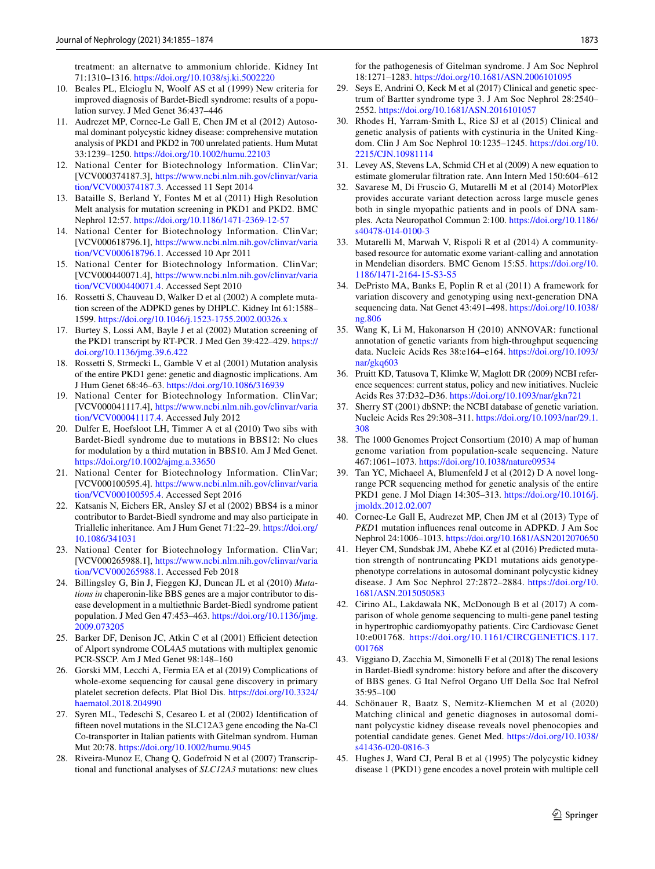treatment: an alternatve to ammonium chloride. Kidney Int 71:1310–1316. <https://doi.org/10.1038/sj.ki.5002220>

- <span id="page-18-9"></span>10. Beales PL, Elcioglu N, Woolf AS et al (1999) New criteria for improved diagnosis of Bardet-Biedl syndrome: results of a population survey. J Med Genet 36:437–446
- <span id="page-18-0"></span>11. Audrezet MP, Cornec-Le Gall E, Chen JM et al (2012) Autosomal dominant polycystic kidney disease: comprehensive mutation analysis of PKD1 and PKD2 in 700 unrelated patients. Hum Mutat 33:1239–1250. <https://doi.org/10.1002/humu.22103>
- <span id="page-18-1"></span>12. National Center for Biotechnology Information. ClinVar; [VCV000374187.3], [https://www.ncbi.nlm.nih.gov/clinvar/varia](https://www.ncbi.nlm.nih.gov/clinvar/variation/VCV000374187.3) [tion/VCV000374187.3.](https://www.ncbi.nlm.nih.gov/clinvar/variation/VCV000374187.3) Accessed 11 Sept 2014
- <span id="page-18-2"></span>13. Bataille S, Berland Y, Fontes M et al (2011) High Resolution Melt analysis for mutation screening in PKD1 and PKD2. BMC Nephrol 12:57. <https://doi.org/10.1186/1471-2369-12-57>
- <span id="page-18-3"></span>14. National Center for Biotechnology Information. ClinVar; [VCV000618796.1], [https://www.ncbi.nlm.nih.gov/clinvar/varia](https://www.ncbi.nlm.nih.gov/clinvar/variation/VCV000618796.1) [tion/VCV000618796.1.](https://www.ncbi.nlm.nih.gov/clinvar/variation/VCV000618796.1) Accessed 10 Apr 2011
- <span id="page-18-4"></span>15. National Center for Biotechnology Information. ClinVar; [VCV000440071.4], [https://www.ncbi.nlm.nih.gov/clinvar/varia](https://www.ncbi.nlm.nih.gov/clinvar/variation/VCV000440071.4) [tion/VCV000440071.4.](https://www.ncbi.nlm.nih.gov/clinvar/variation/VCV000440071.4) Accessed Sept 2010
- <span id="page-18-5"></span>16. Rossetti S, Chauveau D, Walker D et al (2002) A complete mutation screen of the ADPKD genes by DHPLC. Kidney Int 61:1588– 1599.<https://doi.org/10.1046/j.1523-1755.2002.00326.x>
- <span id="page-18-6"></span>17. Burtey S, Lossi AM, Bayle J et al (2002) Mutation screening of the PKD1 transcript by RT-PCR. J Med Gen 39:422–429. [https://](https://doi.org/10.1136/jmg.39.6.422) [doi.org/10.1136/jmg.39.6.422](https://doi.org/10.1136/jmg.39.6.422)
- <span id="page-18-7"></span>18. Rossetti S, Strmecki L, Gamble V et al (2001) Mutation analysis of the entire PKD1 gene: genetic and diagnostic implications. Am J Hum Genet 68:46–63. <https://doi.org/10.1086/316939>
- <span id="page-18-8"></span>19. National Center for Biotechnology Information. ClinVar; [VCV000041117.4], [https://www.ncbi.nlm.nih.gov/clinvar/varia](https://www.ncbi.nlm.nih.gov/clinvar/variation/VCV000041117.4) [tion/VCV000041117.4.](https://www.ncbi.nlm.nih.gov/clinvar/variation/VCV000041117.4) Accessed July 2012
- <span id="page-18-18"></span>20. Dulfer E, Hoefsloot LH, Timmer A et al (2010) Two sibs with Bardet-Biedl syndrome due to mutations in BBS12: No clues for modulation by a third mutation in BBS10. Am J Med Genet. <https://doi.org/10.1002/ajmg.a.33650>
- <span id="page-18-19"></span>21. National Center for Biotechnology Information. ClinVar; [VCV000100595.4]. [https://www.ncbi.nlm.nih.gov/clinvar/varia](https://www.ncbi.nlm.nih.gov/clinvar/variation/VCV000100595.4) [tion/VCV000100595.4.](https://www.ncbi.nlm.nih.gov/clinvar/variation/VCV000100595.4) Accessed Sept 2016
- <span id="page-18-20"></span>22. Katsanis N, Eichers ER, Ansley SJ et al (2002) BBS4 is a minor contributor to Bardet-Biedl syndrome and may also participate in Triallelic inheritance. Am J Hum Genet 71:22–29. [https://doi.org/](https://doi.org/10.1086/341031) [10.1086/341031](https://doi.org/10.1086/341031)
- <span id="page-18-21"></span>23. National Center for Biotechnology Information. ClinVar; [VCV000265988.1], [https://www.ncbi.nlm.nih.gov/clinvar/varia](https://www.ncbi.nlm.nih.gov/clinvar/variation/VCV000265988.1) [tion/VCV000265988.1.](https://www.ncbi.nlm.nih.gov/clinvar/variation/VCV000265988.1) Accessed Feb 2018
- <span id="page-18-22"></span>24. Billingsley G, Bin J, Fieggen KJ, Duncan JL et al (2010) *Mutations in* chaperonin-like BBS genes are a major contributor to disease development in a multiethnic Bardet-Biedl syndrome patient population. J Med Gen 47:453–463. [https://doi.org/10.1136/jmg.](https://doi.org/10.1136/jmg.2009.073205) [2009.073205](https://doi.org/10.1136/jmg.2009.073205)
- <span id="page-18-23"></span>25. Barker DF, Denison JC, Atkin C et al (2001) Efficient detection of Alport syndrome COL4A5 mutations with multiplex genomic PCR-SSCP. Am J Med Genet 98:148–160
- <span id="page-18-24"></span>26. Gorski MM, Lecchi A, Fermia EA et al (2019) Complications of whole-exome sequencing for causal gene discovery in primary platelet secretion defects. Plat Biol Dis. [https://doi.org/10.3324/](https://doi.org/10.3324/haematol.2018.204990) [haematol.2018.204990](https://doi.org/10.3324/haematol.2018.204990)
- <span id="page-18-25"></span>27. Syren ML, Tedeschi S, Cesareo L et al (2002) Identifcation of ffteen novel mutations in the SLC12A3 gene encoding the Na-Cl Co-transporter in Italian patients with Gitelman syndrom. Human Mut 20:78.<https://doi.org/10.1002/humu.9045>
- <span id="page-18-26"></span>28. Riveira-Munoz E, Chang Q, Godefroid N et al (2007) Transcriptional and functional analyses of *SLC12A3* mutations: new clues

for the pathogenesis of Gitelman syndrome. J Am Soc Nephrol 18:1271–1283.<https://doi.org/10.1681/ASN.2006101095>

- <span id="page-18-27"></span>29. Seys E, Andrini O, Keck M et al (2017) Clinical and genetic spectrum of Bartter syndrome type 3. J Am Soc Nephrol 28:2540– 2552. <https://doi.org/10.1681/ASN.2016101057>
- <span id="page-18-28"></span>30. Rhodes H, Yarram-Smith L, Rice SJ et al (2015) Clinical and genetic analysis of patients with cystinuria in the United Kingdom. Clin J Am Soc Nephrol 10:1235–1245. [https://doi.org/10.](https://doi.org/10.2215/CJN.10981114) [2215/CJN.10981114](https://doi.org/10.2215/CJN.10981114)
- <span id="page-18-10"></span>31. Levey AS, Stevens LA, Schmid CH et al (2009) A new equation to estimate glomerular fltration rate. Ann Intern Med 150:604–612
- <span id="page-18-11"></span>32. Savarese M, Di Fruscio G, Mutarelli M et al (2014) MotorPlex provides accurate variant detection across large muscle genes both in single myopathic patients and in pools of DNA samples. Acta Neuropathol Commun 2:100. [https://doi.org/10.1186/](https://doi.org/10.1186/s40478-014-0100-3) [s40478-014-0100-3](https://doi.org/10.1186/s40478-014-0100-3)
- <span id="page-18-12"></span>33. Mutarelli M, Marwah V, Rispoli R et al (2014) A communitybased resource for automatic exome variant-calling and annotation in Mendelian disorders. BMC Genom 15:S5. [https://doi.org/10.](https://doi.org/10.1186/1471-2164-15-S3-S5) [1186/1471-2164-15-S3-S5](https://doi.org/10.1186/1471-2164-15-S3-S5)
- <span id="page-18-13"></span>34. DePristo MA, Banks E, Poplin R et al (2011) A framework for variation discovery and genotyping using next-generation DNA sequencing data. Nat Genet 43:491–498. [https://doi.org/10.1038/](https://doi.org/10.1038/ng.806) [ng.806](https://doi.org/10.1038/ng.806)
- <span id="page-18-14"></span>35. Wang K, Li M, Hakonarson H (2010) ANNOVAR: functional annotation of genetic variants from high-throughput sequencing data. Nucleic Acids Res 38:e164–e164. [https://doi.org/10.1093/](https://doi.org/10.1093/nar/gkq603) [nar/gkq603](https://doi.org/10.1093/nar/gkq603)
- <span id="page-18-15"></span>36. Pruitt KD, Tatusova T, Klimke W, Maglott DR (2009) NCBI reference sequences: current status, policy and new initiatives. Nucleic Acids Res 37:D32–D36.<https://doi.org/10.1093/nar/gkn721>
- <span id="page-18-16"></span>37. Sherry ST (2001) dbSNP: the NCBI database of genetic variation. Nucleic Acids Res 29:308–311. [https://doi.org/10.1093/nar/29.1.](https://doi.org/10.1093/nar/29.1.308) [308](https://doi.org/10.1093/nar/29.1.308)
- <span id="page-18-17"></span>38. The 1000 Genomes Project Consortium (2010) A map of human genome variation from population-scale sequencing. Nature 467:1061–1073.<https://doi.org/10.1038/nature09534>
- <span id="page-18-29"></span>39. Tan YC, Michaeel A, Blumenfeld J et al (2012) D A novel longrange PCR sequencing method for genetic analysis of the entire PKD1 gene. J Mol Diagn 14:305–313. [https://doi.org/10.1016/j.](https://doi.org/10.1016/j.jmoldx.2012.02.007) [jmoldx.2012.02.007](https://doi.org/10.1016/j.jmoldx.2012.02.007)
- <span id="page-18-30"></span>40. Cornec-Le Gall E, Audrezet MP, Chen JM et al (2013) Type of *PKD*1 mutation infuences renal outcome in ADPKD. J Am Soc Nephrol 24:1006–1013. <https://doi.org/10.1681/ASN2012070650>
- <span id="page-18-31"></span>41. Heyer CM, Sundsbak JM, Abebe KZ et al (2016) Predicted mutation strength of nontruncating PKD1 mutations aids genotypephenotype correlations in autosomal dominant polycystic kidney disease. J Am Soc Nephrol 27:2872–2884. [https://doi.org/10.](https://doi.org/10.1681/ASN.2015050583) [1681/ASN.2015050583](https://doi.org/10.1681/ASN.2015050583)
- <span id="page-18-32"></span>42. Cirino AL, Lakdawala NK, McDonough B et al (2017) A comparison of whole genome sequencing to multi-gene panel testing in hypertrophic cardiomyopathy patients. Circ Cardiovasc Genet 10:e001768. [https://doi.org/10.1161/CIRCGENETICS.117.](https://doi.org/10.1161/CIRCGENETICS.117.001768) [001768](https://doi.org/10.1161/CIRCGENETICS.117.001768)
- <span id="page-18-33"></span>43. Viggiano D, Zacchia M, Simonelli F et al (2018) The renal lesions in Bardet-Biedl syndrome: history before and after the discovery of BBS genes. G Ital Nefrol Organo Uf Della Soc Ital Nefrol 35:95–100
- <span id="page-18-34"></span>44. Schönauer R, Baatz S, Nemitz-Kliemchen M et al (2020) Matching clinical and genetic diagnoses in autosomal dominant polycystic kidney disease reveals novel phenocopies and potential candidate genes. Genet Med. [https://doi.org/10.1038/](https://doi.org/10.1038/s41436-020-0816-3) [s41436-020-0816-3](https://doi.org/10.1038/s41436-020-0816-3)
- <span id="page-18-35"></span>45. Hughes J, Ward CJ, Peral B et al (1995) The polycystic kidney disease 1 (PKD1) gene encodes a novel protein with multiple cell